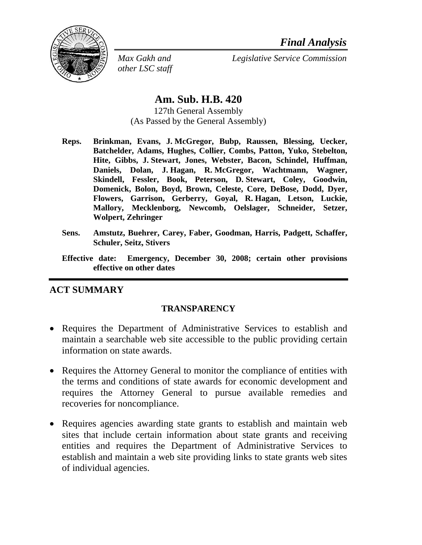

*other LSC staff* 

*Max Gakh and Legislative Service Commission*

## **Am. Sub. H.B. 420**

127th General Assembly (As Passed by the General Assembly)

- **Reps. Brinkman, Evans, J. McGregor, Bubp, Raussen, Blessing, Uecker, Batchelder, Adams, Hughes, Collier, Combs, Patton, Yuko, Stebelton, Hite, Gibbs, J. Stewart, Jones, Webster, Bacon, Schindel, Huffman, Daniels, Dolan, J. Hagan, R. McGregor, Wachtmann, Wagner, Skindell, Fessler, Book, Peterson, D. Stewart, Coley, Goodwin, Domenick, Bolon, Boyd, Brown, Celeste, Core, DeBose, Dodd, Dyer, Flowers, Garrison, Gerberry, Goyal, R. Hagan, Letson, Luckie, Mallory, Mecklenborg, Newcomb, Oelslager, Schneider, Setzer, Wolpert, Zehringer**
- **Sens. Amstutz, Buehrer, Carey, Faber, Goodman, Harris, Padgett, Schaffer, Schuler, Seitz, Stivers**
- **Effective date: Emergency, December 30, 2008; certain other provisions effective on other dates**

## **ACT SUMMARY**

### **TRANSPARENCY**

- Requires the Department of Administrative Services to establish and maintain a searchable web site accessible to the public providing certain information on state awards.
- Requires the Attorney General to monitor the compliance of entities with the terms and conditions of state awards for economic development and requires the Attorney General to pursue available remedies and recoveries for noncompliance.
- Requires agencies awarding state grants to establish and maintain web sites that include certain information about state grants and receiving entities and requires the Department of Administrative Services to establish and maintain a web site providing links to state grants web sites of individual agencies.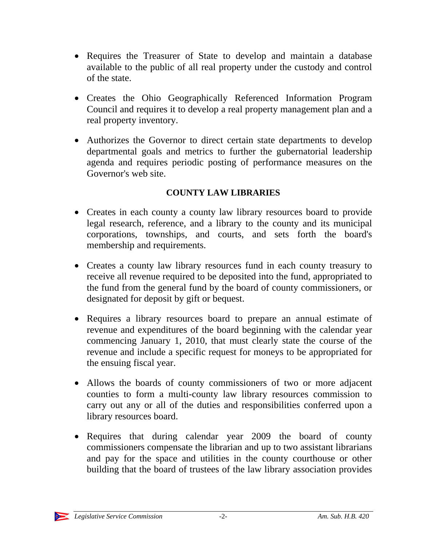- Requires the Treasurer of State to develop and maintain a database available to the public of all real property under the custody and control of the state.
- Creates the Ohio Geographically Referenced Information Program Council and requires it to develop a real property management plan and a real property inventory.
- Authorizes the Governor to direct certain state departments to develop departmental goals and metrics to further the gubernatorial leadership agenda and requires periodic posting of performance measures on the Governor's web site.

### **COUNTY LAW LIBRARIES**

- Creates in each county a county law library resources board to provide legal research, reference, and a library to the county and its municipal corporations, townships, and courts, and sets forth the board's membership and requirements.
- Creates a county law library resources fund in each county treasury to receive all revenue required to be deposited into the fund, appropriated to the fund from the general fund by the board of county commissioners, or designated for deposit by gift or bequest.
- Requires a library resources board to prepare an annual estimate of revenue and expenditures of the board beginning with the calendar year commencing January 1, 2010, that must clearly state the course of the revenue and include a specific request for moneys to be appropriated for the ensuing fiscal year.
- Allows the boards of county commissioners of two or more adjacent counties to form a multi-county law library resources commission to carry out any or all of the duties and responsibilities conferred upon a library resources board.
- Requires that during calendar year 2009 the board of county commissioners compensate the librarian and up to two assistant librarians and pay for the space and utilities in the county courthouse or other building that the board of trustees of the law library association provides

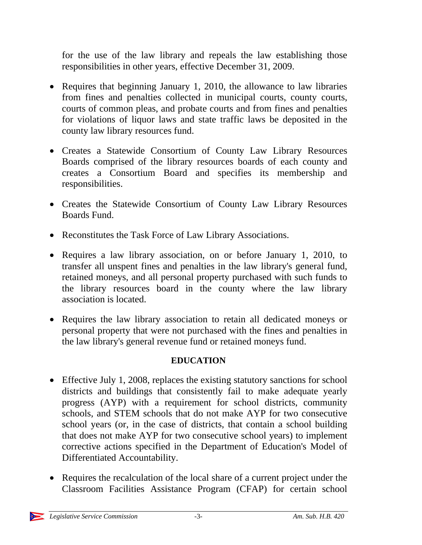for the use of the law library and repeals the law establishing those responsibilities in other years, effective December 31, 2009.

- Requires that beginning January 1, 2010, the allowance to law libraries from fines and penalties collected in municipal courts, county courts, courts of common pleas, and probate courts and from fines and penalties for violations of liquor laws and state traffic laws be deposited in the county law library resources fund.
- Creates a Statewide Consortium of County Law Library Resources Boards comprised of the library resources boards of each county and creates a Consortium Board and specifies its membership and responsibilities.
- Creates the Statewide Consortium of County Law Library Resources Boards Fund.
- Reconstitutes the Task Force of Law Library Associations.
- Requires a law library association, on or before January 1, 2010, to transfer all unspent fines and penalties in the law library's general fund, retained moneys, and all personal property purchased with such funds to the library resources board in the county where the law library association is located.
- Requires the law library association to retain all dedicated moneys or personal property that were not purchased with the fines and penalties in the law library's general revenue fund or retained moneys fund.

# **EDUCATION**

- Effective July 1, 2008, replaces the existing statutory sanctions for school districts and buildings that consistently fail to make adequate yearly progress (AYP) with a requirement for school districts, community schools, and STEM schools that do not make AYP for two consecutive school years (or, in the case of districts, that contain a school building that does not make AYP for two consecutive school years) to implement corrective actions specified in the Department of Education's Model of Differentiated Accountability.
- Requires the recalculation of the local share of a current project under the Classroom Facilities Assistance Program (CFAP) for certain school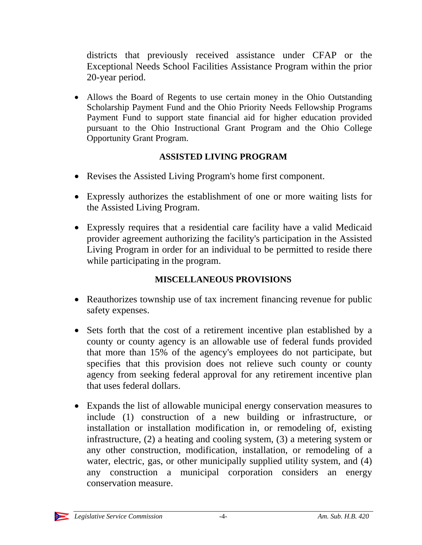districts that previously received assistance under CFAP or the Exceptional Needs School Facilities Assistance Program within the prior 20-year period.

• Allows the Board of Regents to use certain money in the Ohio Outstanding Scholarship Payment Fund and the Ohio Priority Needs Fellowship Programs Payment Fund to support state financial aid for higher education provided pursuant to the Ohio Instructional Grant Program and the Ohio College Opportunity Grant Program.

## **ASSISTED LIVING PROGRAM**

- Revises the Assisted Living Program's home first component.
- Expressly authorizes the establishment of one or more waiting lists for the Assisted Living Program.
- Expressly requires that a residential care facility have a valid Medicaid provider agreement authorizing the facility's participation in the Assisted Living Program in order for an individual to be permitted to reside there while participating in the program.

## **MISCELLANEOUS PROVISIONS**

- Reauthorizes township use of tax increment financing revenue for public safety expenses.
- Sets forth that the cost of a retirement incentive plan established by a county or county agency is an allowable use of federal funds provided that more than 15% of the agency's employees do not participate, but specifies that this provision does not relieve such county or county agency from seeking federal approval for any retirement incentive plan that uses federal dollars.
- Expands the list of allowable municipal energy conservation measures to include (1) construction of a new building or infrastructure, or installation or installation modification in, or remodeling of, existing infrastructure, (2) a heating and cooling system, (3) a metering system or any other construction, modification, installation, or remodeling of a water, electric, gas, or other municipally supplied utility system, and (4) any construction a municipal corporation considers an energy conservation measure.

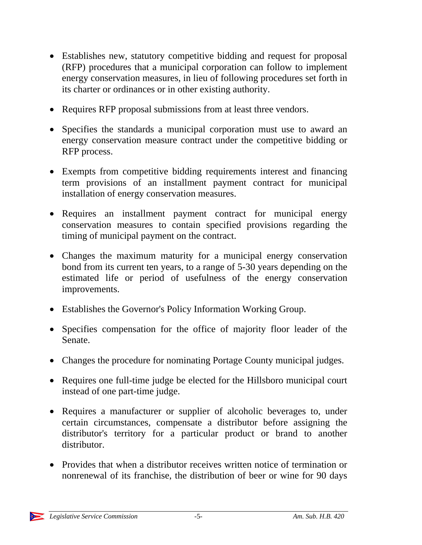- Establishes new, statutory competitive bidding and request for proposal (RFP) procedures that a municipal corporation can follow to implement energy conservation measures, in lieu of following procedures set forth in its charter or ordinances or in other existing authority.
- Requires RFP proposal submissions from at least three vendors.
- Specifies the standards a municipal corporation must use to award an energy conservation measure contract under the competitive bidding or RFP process.
- Exempts from competitive bidding requirements interest and financing term provisions of an installment payment contract for municipal installation of energy conservation measures.
- Requires an installment payment contract for municipal energy conservation measures to contain specified provisions regarding the timing of municipal payment on the contract.
- Changes the maximum maturity for a municipal energy conservation bond from its current ten years, to a range of 5-30 years depending on the estimated life or period of usefulness of the energy conservation improvements.
- Establishes the Governor's Policy Information Working Group.
- Specifies compensation for the office of majority floor leader of the Senate.
- Changes the procedure for nominating Portage County municipal judges.
- Requires one full-time judge be elected for the Hillsboro municipal court instead of one part-time judge.
- Requires a manufacturer or supplier of alcoholic beverages to, under certain circumstances, compensate a distributor before assigning the distributor's territory for a particular product or brand to another distributor.
- Provides that when a distributor receives written notice of termination or nonrenewal of its franchise, the distribution of beer or wine for 90 days

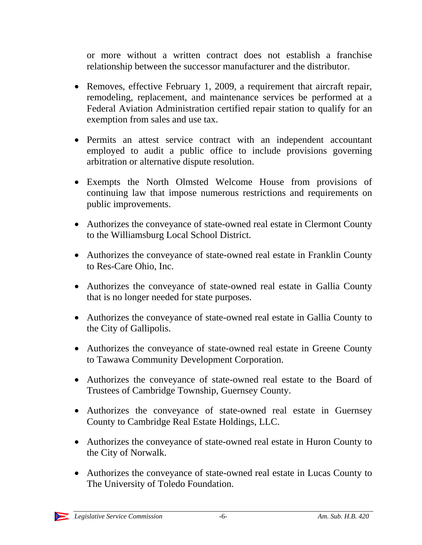or more without a written contract does not establish a franchise relationship between the successor manufacturer and the distributor.

- Removes, effective February 1, 2009, a requirement that aircraft repair, remodeling, replacement, and maintenance services be performed at a Federal Aviation Administration certified repair station to qualify for an exemption from sales and use tax.
- Permits an attest service contract with an independent accountant employed to audit a public office to include provisions governing arbitration or alternative dispute resolution.
- Exempts the North Olmsted Welcome House from provisions of continuing law that impose numerous restrictions and requirements on public improvements.
- Authorizes the conveyance of state-owned real estate in Clermont County to the Williamsburg Local School District.
- Authorizes the conveyance of state-owned real estate in Franklin County to Res-Care Ohio, Inc.
- Authorizes the conveyance of state-owned real estate in Gallia County that is no longer needed for state purposes.
- Authorizes the conveyance of state-owned real estate in Gallia County to the City of Gallipolis.
- Authorizes the conveyance of state-owned real estate in Greene County to Tawawa Community Development Corporation.
- Authorizes the conveyance of state-owned real estate to the Board of Trustees of Cambridge Township, Guernsey County.
- Authorizes the conveyance of state-owned real estate in Guernsey County to Cambridge Real Estate Holdings, LLC.
- Authorizes the conveyance of state-owned real estate in Huron County to the City of Norwalk.
- Authorizes the conveyance of state-owned real estate in Lucas County to The University of Toledo Foundation.

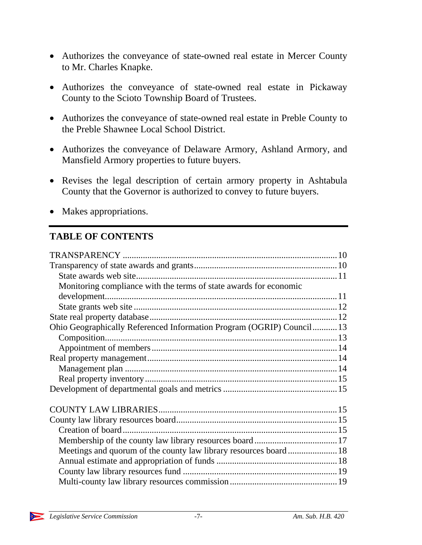- Authorizes the conveyance of state-owned real estate in Mercer County to Mr. Charles Knapke.
- Authorizes the conveyance of state-owned real estate in Pickaway County to the Scioto Township Board of Trustees.
- Authorizes the conveyance of state-owned real estate in Preble County to the Preble Shawnee Local School District.
- Authorizes the conveyance of Delaware Armory, Ashland Armory, and Mansfield Armory properties to future buyers.
- Revises the legal description of certain armory property in Ashtabula County that the Governor is authorized to convey to future buyers.
- Makes appropriations.

# **TABLE OF CONTENTS**

| Monitoring compliance with the terms of state awards for economic     |  |
|-----------------------------------------------------------------------|--|
|                                                                       |  |
|                                                                       |  |
|                                                                       |  |
| Ohio Geographically Referenced Information Program (OGRIP) Council 13 |  |
|                                                                       |  |
|                                                                       |  |
|                                                                       |  |
|                                                                       |  |
|                                                                       |  |
|                                                                       |  |
|                                                                       |  |
|                                                                       |  |
|                                                                       |  |
|                                                                       |  |
| Meetings and quorum of the county law library resources board 18      |  |
|                                                                       |  |
|                                                                       |  |
|                                                                       |  |

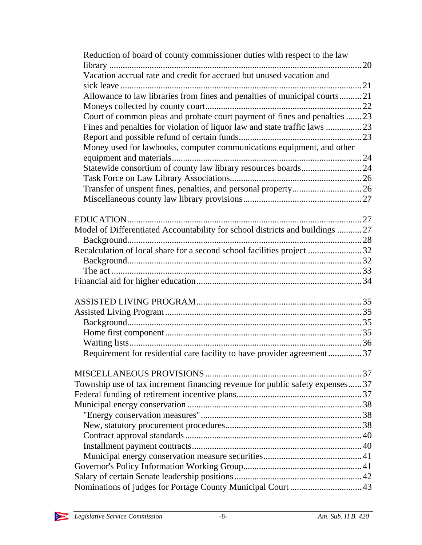| Reduction of board of county commissioner duties with respect to the law     |  |
|------------------------------------------------------------------------------|--|
|                                                                              |  |
| Vacation accrual rate and credit for accrued but unused vacation and         |  |
|                                                                              |  |
| Allowance to law libraries from fines and penalties of municipal courts21    |  |
|                                                                              |  |
| Court of common pleas and probate court payment of fines and penalties  23   |  |
|                                                                              |  |
|                                                                              |  |
| Money used for lawbooks, computer communications equipment, and other        |  |
|                                                                              |  |
|                                                                              |  |
|                                                                              |  |
|                                                                              |  |
|                                                                              |  |
|                                                                              |  |
|                                                                              |  |
| Model of Differentiated Accountability for school districts and buildings 27 |  |
|                                                                              |  |
| Recalculation of local share for a second school facilities project 32       |  |
|                                                                              |  |
|                                                                              |  |
|                                                                              |  |
|                                                                              |  |
|                                                                              |  |
|                                                                              |  |
|                                                                              |  |
|                                                                              |  |
| Requirement for residential care facility to have provider agreement37       |  |
|                                                                              |  |
| Township use of tax increment financing revenue for public safety expenses37 |  |
|                                                                              |  |
|                                                                              |  |
|                                                                              |  |
|                                                                              |  |
|                                                                              |  |
|                                                                              |  |
|                                                                              |  |
|                                                                              |  |
|                                                                              |  |
| Nominations of judges for Portage County Municipal Court  43                 |  |
|                                                                              |  |

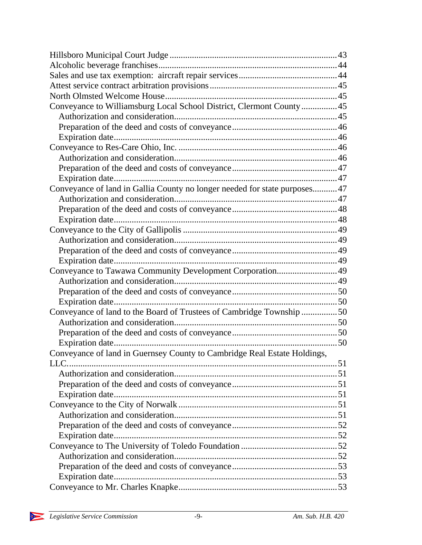| Conveyance to Williamsburg Local School District, Clermont County 45       |  |
|----------------------------------------------------------------------------|--|
|                                                                            |  |
|                                                                            |  |
|                                                                            |  |
|                                                                            |  |
|                                                                            |  |
|                                                                            |  |
|                                                                            |  |
| Conveyance of land in Gallia County no longer needed for state purposes 47 |  |
|                                                                            |  |
|                                                                            |  |
|                                                                            |  |
|                                                                            |  |
|                                                                            |  |
|                                                                            |  |
|                                                                            |  |
| Conveyance to Tawawa Community Development Corporation49                   |  |
|                                                                            |  |
|                                                                            |  |
|                                                                            |  |
| Conveyance of land to the Board of Trustees of Cambridge Township 50       |  |
|                                                                            |  |
|                                                                            |  |
|                                                                            |  |
| Conveyance of land in Guernsey County to Cambridge Real Estate Holdings,   |  |
|                                                                            |  |
|                                                                            |  |
|                                                                            |  |
|                                                                            |  |
|                                                                            |  |
|                                                                            |  |
|                                                                            |  |
|                                                                            |  |
|                                                                            |  |
|                                                                            |  |
|                                                                            |  |
|                                                                            |  |
|                                                                            |  |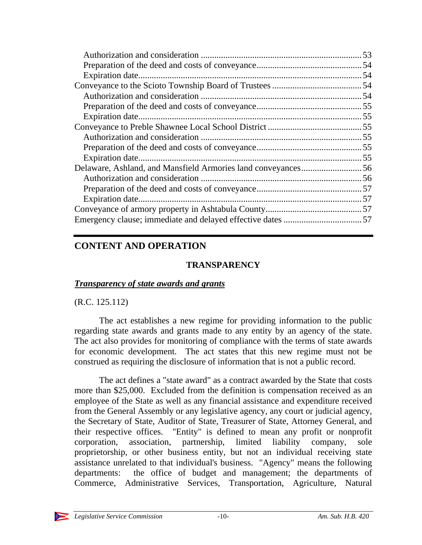## **CONTENT AND OPERATION**

## **TRANSPARENCY**

## *Transparency of state awards and grants*

## (R.C. 125.112)

The act establishes a new regime for providing information to the public regarding state awards and grants made to any entity by an agency of the state. The act also provides for monitoring of compliance with the terms of state awards for economic development. The act states that this new regime must not be construed as requiring the disclosure of information that is not a public record.

The act defines a "state award" as a contract awarded by the State that costs more than \$25,000. Excluded from the definition is compensation received as an employee of the State as well as any financial assistance and expenditure received from the General Assembly or any legislative agency, any court or judicial agency, the Secretary of State, Auditor of State, Treasurer of State, Attorney General, and their respective offices. "Entity" is defined to mean any profit or nonprofit corporation, association, partnership, limited liability company, sole proprietorship, or other business entity, but not an individual receiving state assistance unrelated to that individual's business. "Agency" means the following departments: the office of budget and management; the departments of Commerce, Administrative Services, Transportation, Agriculture, Natural

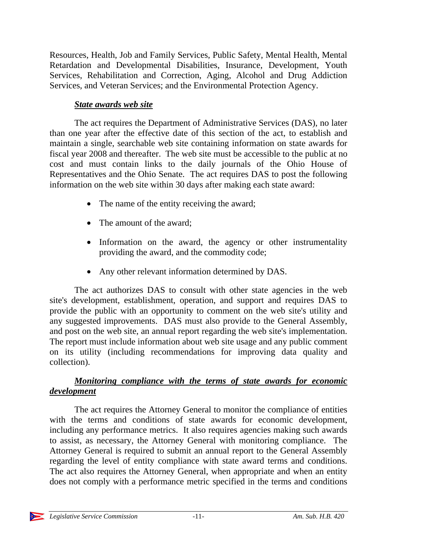Resources, Health, Job and Family Services, Public Safety, Mental Health, Mental Retardation and Developmental Disabilities, Insurance, Development, Youth Services, Rehabilitation and Correction, Aging, Alcohol and Drug Addiction Services, and Veteran Services; and the Environmental Protection Agency.

### *State awards web site*

The act requires the Department of Administrative Services (DAS), no later than one year after the effective date of this section of the act, to establish and maintain a single, searchable web site containing information on state awards for fiscal year 2008 and thereafter. The web site must be accessible to the public at no cost and must contain links to the daily journals of the Ohio House of Representatives and the Ohio Senate. The act requires DAS to post the following information on the web site within 30 days after making each state award:

- The name of the entity receiving the award;
- The amount of the award;
- Information on the award, the agency or other instrumentality providing the award, and the commodity code;
- Any other relevant information determined by DAS.

The act authorizes DAS to consult with other state agencies in the web site's development, establishment, operation, and support and requires DAS to provide the public with an opportunity to comment on the web site's utility and any suggested improvements. DAS must also provide to the General Assembly, and post on the web site, an annual report regarding the web site's implementation. The report must include information about web site usage and any public comment on its utility (including recommendations for improving data quality and collection).

## *Monitoring compliance with the terms of state awards for economic development*

The act requires the Attorney General to monitor the compliance of entities with the terms and conditions of state awards for economic development, including any performance metrics. It also requires agencies making such awards to assist, as necessary, the Attorney General with monitoring compliance. The Attorney General is required to submit an annual report to the General Assembly regarding the level of entity compliance with state award terms and conditions. The act also requires the Attorney General, when appropriate and when an entity does not comply with a performance metric specified in the terms and conditions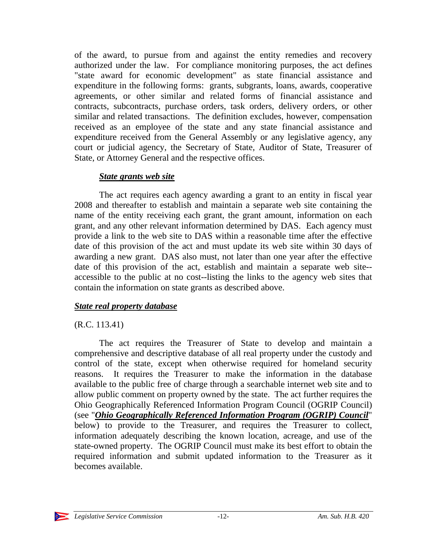of the award, to pursue from and against the entity remedies and recovery authorized under the law. For compliance monitoring purposes, the act defines "state award for economic development" as state financial assistance and expenditure in the following forms: grants, subgrants, loans, awards, cooperative agreements, or other similar and related forms of financial assistance and contracts, subcontracts, purchase orders, task orders, delivery orders, or other similar and related transactions. The definition excludes, however, compensation received as an employee of the state and any state financial assistance and expenditure received from the General Assembly or any legislative agency, any court or judicial agency, the Secretary of State, Auditor of State, Treasurer of State, or Attorney General and the respective offices.

#### *State grants web site*

The act requires each agency awarding a grant to an entity in fiscal year 2008 and thereafter to establish and maintain a separate web site containing the name of the entity receiving each grant, the grant amount, information on each grant, and any other relevant information determined by DAS. Each agency must provide a link to the web site to DAS within a reasonable time after the effective date of this provision of the act and must update its web site within 30 days of awarding a new grant. DAS also must, not later than one year after the effective date of this provision of the act, establish and maintain a separate web site- accessible to the public at no cost--listing the links to the agency web sites that contain the information on state grants as described above.

### *State real property database*

### (R.C. 113.41)

The act requires the Treasurer of State to develop and maintain a comprehensive and descriptive database of all real property under the custody and control of the state, except when otherwise required for homeland security reasons. It requires the Treasurer to make the information in the database available to the public free of charge through a searchable internet web site and to allow public comment on property owned by the state. The act further requires the Ohio Geographically Referenced Information Program Council (OGRIP Council) (see "*Ohio Geographically Referenced Information Program (OGRIP) Council*" below) to provide to the Treasurer, and requires the Treasurer to collect, information adequately describing the known location, acreage, and use of the state-owned property. The OGRIP Council must make its best effort to obtain the required information and submit updated information to the Treasurer as it becomes available.

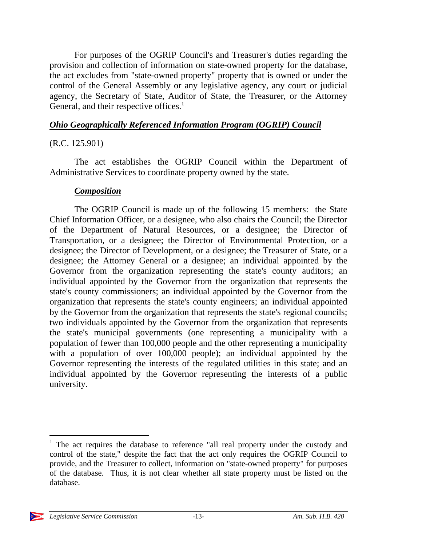For purposes of the OGRIP Council's and Treasurer's duties regarding the provision and collection of information on state-owned property for the database, the act excludes from "state-owned property" property that is owned or under the control of the General Assembly or any legislative agency, any court or judicial agency, the Secretary of State, Auditor of State, the Treasurer, or the Attorney General, and their respective offices.<sup>1</sup>

#### *Ohio Geographically Referenced Information Program (OGRIP) Council*

### (R.C. 125.901)

The act establishes the OGRIP Council within the Department of Administrative Services to coordinate property owned by the state.

#### *Composition*

The OGRIP Council is made up of the following 15 members: the State Chief Information Officer, or a designee, who also chairs the Council; the Director of the Department of Natural Resources, or a designee; the Director of Transportation, or a designee; the Director of Environmental Protection, or a designee; the Director of Development, or a designee; the Treasurer of State, or a designee; the Attorney General or a designee; an individual appointed by the Governor from the organization representing the state's county auditors; an individual appointed by the Governor from the organization that represents the state's county commissioners; an individual appointed by the Governor from the organization that represents the state's county engineers; an individual appointed by the Governor from the organization that represents the state's regional councils; two individuals appointed by the Governor from the organization that represents the state's municipal governments (one representing a municipality with a population of fewer than 100,000 people and the other representing a municipality with a population of over 100,000 people); an individual appointed by the Governor representing the interests of the regulated utilities in this state; and an individual appointed by the Governor representing the interests of a public university.

 $\overline{a}$ <sup>1</sup> The act requires the database to reference "all real property under the custody and control of the state," despite the fact that the act only requires the OGRIP Council to provide, and the Treasurer to collect, information on "state-owned property" for purposes of the database. Thus, it is not clear whether all state property must be listed on the database.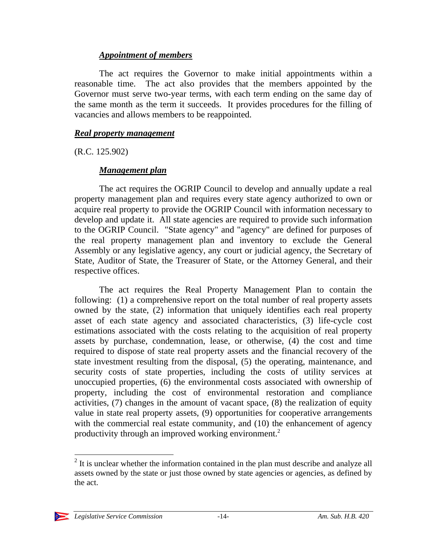#### *Appointment of members*

The act requires the Governor to make initial appointments within a reasonable time. The act also provides that the members appointed by the Governor must serve two-year terms, with each term ending on the same day of the same month as the term it succeeds. It provides procedures for the filling of vacancies and allows members to be reappointed.

#### *Real property management*

(R.C. 125.902)

### *Management plan*

The act requires the OGRIP Council to develop and annually update a real property management plan and requires every state agency authorized to own or acquire real property to provide the OGRIP Council with information necessary to develop and update it. All state agencies are required to provide such information to the OGRIP Council. "State agency" and "agency" are defined for purposes of the real property management plan and inventory to exclude the General Assembly or any legislative agency, any court or judicial agency, the Secretary of State, Auditor of State, the Treasurer of State, or the Attorney General, and their respective offices.

The act requires the Real Property Management Plan to contain the following: (1) a comprehensive report on the total number of real property assets owned by the state, (2) information that uniquely identifies each real property asset of each state agency and associated characteristics, (3) life-cycle cost estimations associated with the costs relating to the acquisition of real property assets by purchase, condemnation, lease, or otherwise, (4) the cost and time required to dispose of state real property assets and the financial recovery of the state investment resulting from the disposal, (5) the operating, maintenance, and security costs of state properties, including the costs of utility services at unoccupied properties, (6) the environmental costs associated with ownership of property, including the cost of environmental restoration and compliance activities, (7) changes in the amount of vacant space, (8) the realization of equity value in state real property assets, (9) opportunities for cooperative arrangements with the commercial real estate community, and (10) the enhancement of agency productivity through an improved working environment.<sup>2</sup>

 $2$  It is unclear whether the information contained in the plan must describe and analyze all assets owned by the state or just those owned by state agencies or agencies, as defined by the act.



 $\overline{a}$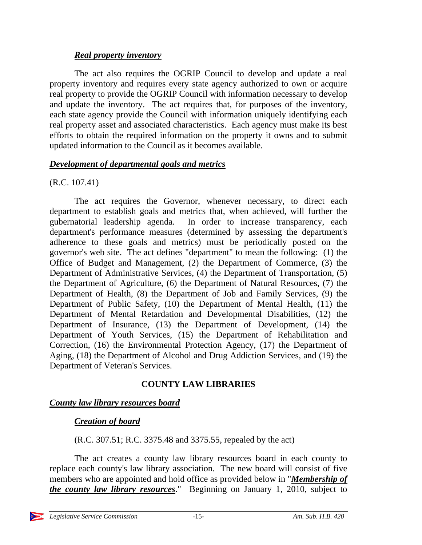### *Real property inventory*

The act also requires the OGRIP Council to develop and update a real property inventory and requires every state agency authorized to own or acquire real property to provide the OGRIP Council with information necessary to develop and update the inventory. The act requires that, for purposes of the inventory, each state agency provide the Council with information uniquely identifying each real property asset and associated characteristics. Each agency must make its best efforts to obtain the required information on the property it owns and to submit updated information to the Council as it becomes available.

### *Development of departmental goals and metrics*

### (R.C. 107.41)

The act requires the Governor, whenever necessary, to direct each department to establish goals and metrics that, when achieved, will further the gubernatorial leadership agenda. In order to increase transparency, each department's performance measures (determined by assessing the department's adherence to these goals and metrics) must be periodically posted on the governor's web site. The act defines "department" to mean the following: (1) the Office of Budget and Management, (2) the Department of Commerce, (3) the Department of Administrative Services, (4) the Department of Transportation, (5) the Department of Agriculture, (6) the Department of Natural Resources, (7) the Department of Health, (8) the Department of Job and Family Services, (9) the Department of Public Safety, (10) the Department of Mental Health, (11) the Department of Mental Retardation and Developmental Disabilities, (12) the Department of Insurance, (13) the Department of Development, (14) the Department of Youth Services, (15) the Department of Rehabilitation and Correction, (16) the Environmental Protection Agency, (17) the Department of Aging, (18) the Department of Alcohol and Drug Addiction Services, and (19) the Department of Veteran's Services.

### **COUNTY LAW LIBRARIES**

## *County law library resources board*

## *Creation of board*

(R.C. 307.51; R.C. 3375.48 and 3375.55, repealed by the act)

The act creates a county law library resources board in each county to replace each county's law library association. The new board will consist of five members who are appointed and hold office as provided below in "*Membership of the county law library resources*." Beginning on January 1, 2010, subject to

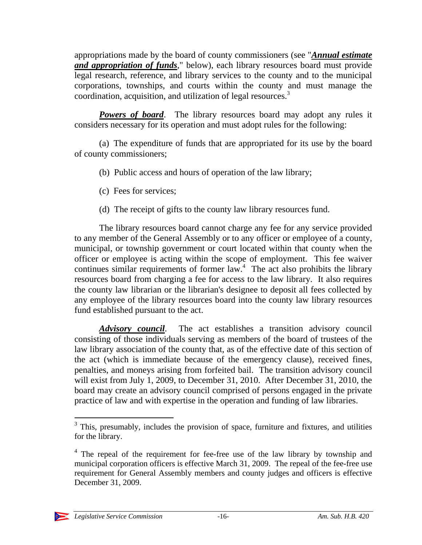appropriations made by the board of county commissioners (see "*Annual estimate and appropriation of funds*," below), each library resources board must provide legal research, reference, and library services to the county and to the municipal corporations, townships, and courts within the county and must manage the coordination, acquisition, and utilization of legal resources.<sup>3</sup>

**Powers of board.** The library resources board may adopt any rules it considers necessary for its operation and must adopt rules for the following:

(a) The expenditure of funds that are appropriated for its use by the board of county commissioners;

- (b) Public access and hours of operation of the law library;
- (c) Fees for services;
- (d) The receipt of gifts to the county law library resources fund.

The library resources board cannot charge any fee for any service provided to any member of the General Assembly or to any officer or employee of a county, municipal, or township government or court located within that county when the officer or employee is acting within the scope of employment. This fee waiver continues similar requirements of former  $law<sup>4</sup>$ . The act also prohibits the library resources board from charging a fee for access to the law library. It also requires the county law librarian or the librarian's designee to deposit all fees collected by any employee of the library resources board into the county law library resources fund established pursuant to the act.

*Advisory council*. The act establishes a transition advisory council consisting of those individuals serving as members of the board of trustees of the law library association of the county that, as of the effective date of this section of the act (which is immediate because of the emergency clause), received fines, penalties, and moneys arising from forfeited bail. The transition advisory council will exist from July 1, 2009, to December 31, 2010. After December 31, 2010, the board may create an advisory council comprised of persons engaged in the private practice of law and with expertise in the operation and funding of law libraries.

<sup>&</sup>lt;sup>4</sup> The repeal of the requirement for fee-free use of the law library by township and municipal corporation officers is effective March 31, 2009. The repeal of the fee-free use requirement for General Assembly members and county judges and officers is effective December 31, 2009.



<sup>&</sup>lt;sup>3</sup> This, presumably, includes the provision of space, furniture and fixtures, and utilities for the library.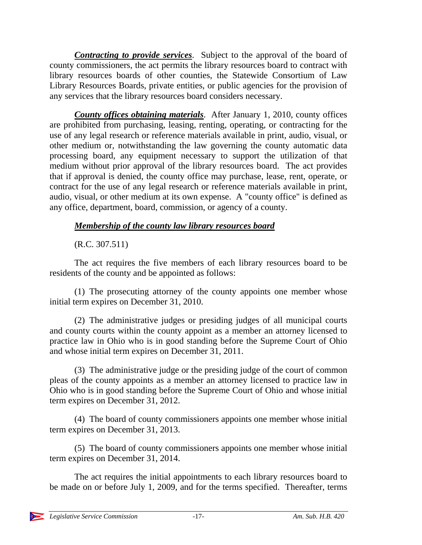*Contracting to provide services*. Subject to the approval of the board of county commissioners, the act permits the library resources board to contract with library resources boards of other counties, the Statewide Consortium of Law Library Resources Boards, private entities, or public agencies for the provision of any services that the library resources board considers necessary.

*County offices obtaining materials*. After January 1, 2010, county offices are prohibited from purchasing, leasing, renting, operating, or contracting for the use of any legal research or reference materials available in print, audio, visual, or other medium or, notwithstanding the law governing the county automatic data processing board, any equipment necessary to support the utilization of that medium without prior approval of the library resources board. The act provides that if approval is denied, the county office may purchase, lease, rent, operate, or contract for the use of any legal research or reference materials available in print, audio, visual, or other medium at its own expense. A "county office" is defined as any office, department, board, commission, or agency of a county.

## *Membership of the county law library resources board*

## (R.C. 307.511)

The act requires the five members of each library resources board to be residents of the county and be appointed as follows:

(1) The prosecuting attorney of the county appoints one member whose initial term expires on December 31, 2010.

(2) The administrative judges or presiding judges of all municipal courts and county courts within the county appoint as a member an attorney licensed to practice law in Ohio who is in good standing before the Supreme Court of Ohio and whose initial term expires on December 31, 2011.

(3) The administrative judge or the presiding judge of the court of common pleas of the county appoints as a member an attorney licensed to practice law in Ohio who is in good standing before the Supreme Court of Ohio and whose initial term expires on December 31, 2012.

(4) The board of county commissioners appoints one member whose initial term expires on December 31, 2013.

(5) The board of county commissioners appoints one member whose initial term expires on December 31, 2014.

The act requires the initial appointments to each library resources board to be made on or before July 1, 2009, and for the terms specified. Thereafter, terms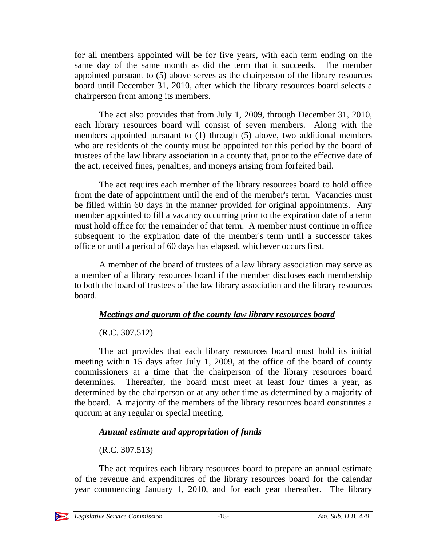for all members appointed will be for five years, with each term ending on the same day of the same month as did the term that it succeeds. The member appointed pursuant to (5) above serves as the chairperson of the library resources board until December 31, 2010, after which the library resources board selects a chairperson from among its members.

The act also provides that from July 1, 2009, through December 31, 2010, each library resources board will consist of seven members. Along with the members appointed pursuant to (1) through (5) above, two additional members who are residents of the county must be appointed for this period by the board of trustees of the law library association in a county that, prior to the effective date of the act, received fines, penalties, and moneys arising from forfeited bail.

The act requires each member of the library resources board to hold office from the date of appointment until the end of the member's term. Vacancies must be filled within 60 days in the manner provided for original appointments. Any member appointed to fill a vacancy occurring prior to the expiration date of a term must hold office for the remainder of that term. A member must continue in office subsequent to the expiration date of the member's term until a successor takes office or until a period of 60 days has elapsed, whichever occurs first.

A member of the board of trustees of a law library association may serve as a member of a library resources board if the member discloses each membership to both the board of trustees of the law library association and the library resources board.

### *Meetings and quorum of the county law library resources board*

## (R.C. 307.512)

The act provides that each library resources board must hold its initial meeting within 15 days after July 1, 2009, at the office of the board of county commissioners at a time that the chairperson of the library resources board determines. Thereafter, the board must meet at least four times a year, as determined by the chairperson or at any other time as determined by a majority of the board. A majority of the members of the library resources board constitutes a quorum at any regular or special meeting.

## *Annual estimate and appropriation of funds*

(R.C. 307.513)

The act requires each library resources board to prepare an annual estimate of the revenue and expenditures of the library resources board for the calendar year commencing January 1, 2010, and for each year thereafter. The library

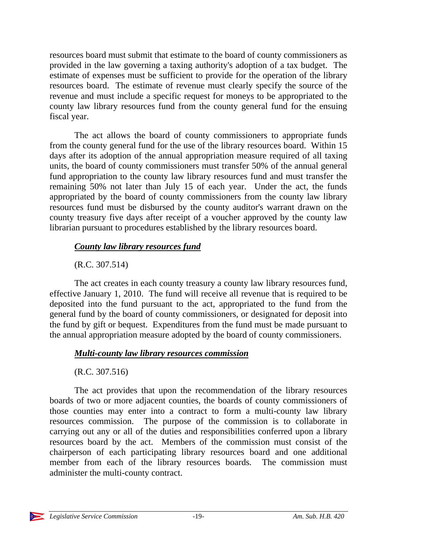resources board must submit that estimate to the board of county commissioners as provided in the law governing a taxing authority's adoption of a tax budget. The estimate of expenses must be sufficient to provide for the operation of the library resources board. The estimate of revenue must clearly specify the source of the revenue and must include a specific request for moneys to be appropriated to the county law library resources fund from the county general fund for the ensuing fiscal year.

The act allows the board of county commissioners to appropriate funds from the county general fund for the use of the library resources board. Within 15 days after its adoption of the annual appropriation measure required of all taxing units, the board of county commissioners must transfer 50% of the annual general fund appropriation to the county law library resources fund and must transfer the remaining 50% not later than July 15 of each year. Under the act, the funds appropriated by the board of county commissioners from the county law library resources fund must be disbursed by the county auditor's warrant drawn on the county treasury five days after receipt of a voucher approved by the county law librarian pursuant to procedures established by the library resources board.

### *County law library resources fund*

(R.C. 307.514)

The act creates in each county treasury a county law library resources fund, effective January 1, 2010. The fund will receive all revenue that is required to be deposited into the fund pursuant to the act, appropriated to the fund from the general fund by the board of county commissioners, or designated for deposit into the fund by gift or bequest. Expenditures from the fund must be made pursuant to the annual appropriation measure adopted by the board of county commissioners.

## *Multi-county law library resources commission*

## (R.C. 307.516)

The act provides that upon the recommendation of the library resources boards of two or more adjacent counties, the boards of county commissioners of those counties may enter into a contract to form a multi-county law library resources commission. The purpose of the commission is to collaborate in carrying out any or all of the duties and responsibilities conferred upon a library resources board by the act. Members of the commission must consist of the chairperson of each participating library resources board and one additional member from each of the library resources boards. The commission must administer the multi-county contract.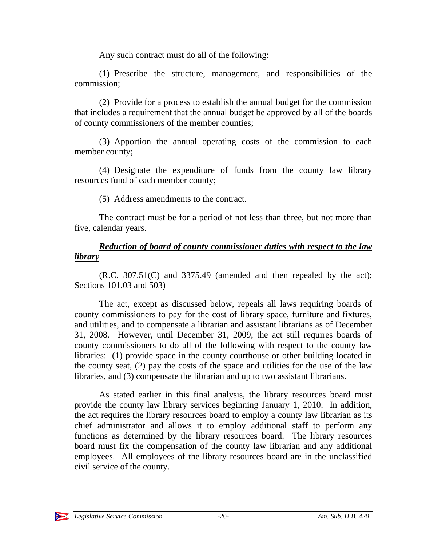Any such contract must do all of the following:

(1) Prescribe the structure, management, and responsibilities of the commission;

(2) Provide for a process to establish the annual budget for the commission that includes a requirement that the annual budget be approved by all of the boards of county commissioners of the member counties;

(3) Apportion the annual operating costs of the commission to each member county;

(4) Designate the expenditure of funds from the county law library resources fund of each member county;

(5) Address amendments to the contract.

The contract must be for a period of not less than three, but not more than five, calendar years.

#### *Reduction of board of county commissioner duties with respect to the law library*

(R.C. 307.51(C) and 3375.49 (amended and then repealed by the act); Sections 101.03 and 503)

The act, except as discussed below, repeals all laws requiring boards of county commissioners to pay for the cost of library space, furniture and fixtures, and utilities, and to compensate a librarian and assistant librarians as of December 31, 2008. However, until December 31, 2009, the act still requires boards of county commissioners to do all of the following with respect to the county law libraries: (1) provide space in the county courthouse or other building located in the county seat, (2) pay the costs of the space and utilities for the use of the law libraries, and (3) compensate the librarian and up to two assistant librarians.

As stated earlier in this final analysis, the library resources board must provide the county law library services beginning January 1, 2010. In addition, the act requires the library resources board to employ a county law librarian as its chief administrator and allows it to employ additional staff to perform any functions as determined by the library resources board. The library resources board must fix the compensation of the county law librarian and any additional employees. All employees of the library resources board are in the unclassified civil service of the county.

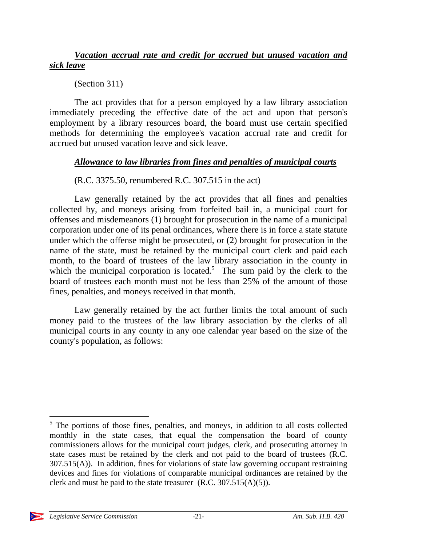#### *Vacation accrual rate and credit for accrued but unused vacation and sick leave*

(Section 311)

The act provides that for a person employed by a law library association immediately preceding the effective date of the act and upon that person's employment by a library resources board, the board must use certain specified methods for determining the employee's vacation accrual rate and credit for accrued but unused vacation leave and sick leave.

### *Allowance to law libraries from fines and penalties of municipal courts*

## (R.C. 3375.50, renumbered R.C. 307.515 in the act)

Law generally retained by the act provides that all fines and penalties collected by, and moneys arising from forfeited bail in, a municipal court for offenses and misdemeanors (1) brought for prosecution in the name of a municipal corporation under one of its penal ordinances, where there is in force a state statute under which the offense might be prosecuted, or (2) brought for prosecution in the name of the state, must be retained by the municipal court clerk and paid each month, to the board of trustees of the law library association in the county in which the municipal corporation is located.<sup>5</sup> The sum paid by the clerk to the board of trustees each month must not be less than 25% of the amount of those fines, penalties, and moneys received in that month.

Law generally retained by the act further limits the total amount of such money paid to the trustees of the law library association by the clerks of all municipal courts in any county in any one calendar year based on the size of the county's population, as follows:

 $\overline{a}$ <sup>5</sup> The portions of those fines, penalties, and moneys, in addition to all costs collected monthly in the state cases, that equal the compensation the board of county commissioners allows for the municipal court judges, clerk, and prosecuting attorney in state cases must be retained by the clerk and not paid to the board of trustees (R.C. 307.515(A)). In addition, fines for violations of state law governing occupant restraining devices and fines for violations of comparable municipal ordinances are retained by the clerk and must be paid to the state treasurer (R.C. 307.515(A)(5)).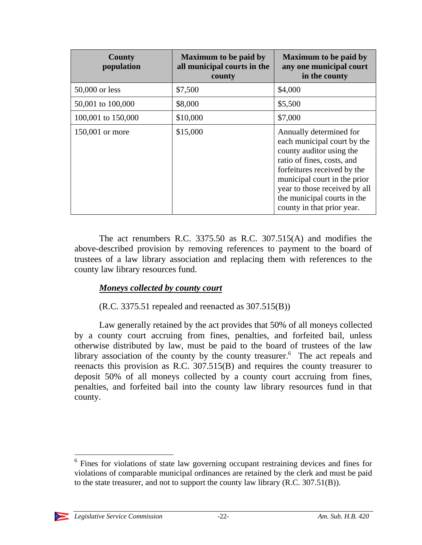| <b>County</b><br>population | <b>Maximum to be paid by</b><br>all municipal courts in the<br>county | <b>Maximum to be paid by</b><br>any one municipal court<br>in the county                                                                                                                                                                                                      |
|-----------------------------|-----------------------------------------------------------------------|-------------------------------------------------------------------------------------------------------------------------------------------------------------------------------------------------------------------------------------------------------------------------------|
| 50,000 or less              | \$7,500                                                               | \$4,000                                                                                                                                                                                                                                                                       |
| 50,001 to 100,000           | \$8,000                                                               | \$5,500                                                                                                                                                                                                                                                                       |
| 100,001 to 150,000          | \$10,000                                                              | \$7,000                                                                                                                                                                                                                                                                       |
| 150,001 or more             | \$15,000                                                              | Annually determined for<br>each municipal court by the<br>county auditor using the<br>ratio of fines, costs, and<br>forfeitures received by the<br>municipal court in the prior<br>year to those received by all<br>the municipal courts in the<br>county in that prior year. |

The act renumbers R.C. 3375.50 as R.C. 307.515(A) and modifies the above-described provision by removing references to payment to the board of trustees of a law library association and replacing them with references to the county law library resources fund.

### *Moneys collected by county court*

## (R.C. 3375.51 repealed and reenacted as 307.515(B))

Law generally retained by the act provides that 50% of all moneys collected by a county court accruing from fines, penalties, and forfeited bail, unless otherwise distributed by law, must be paid to the board of trustees of the law library association of the county by the county treasurer. $6$  The act repeals and reenacts this provision as R.C. 307.515(B) and requires the county treasurer to deposit 50% of all moneys collected by a county court accruing from fines, penalties, and forfeited bail into the county law library resources fund in that county.

<sup>&</sup>lt;sup>6</sup> Fines for violations of state law governing occupant restraining devices and fines for violations of comparable municipal ordinances are retained by the clerk and must be paid to the state treasurer, and not to support the county law library (R.C. 307.51(B)).



 $\overline{a}$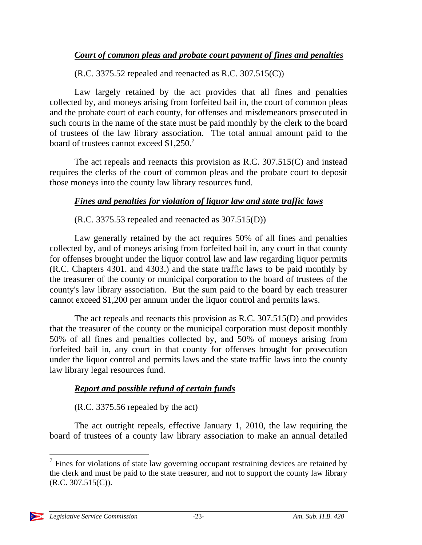### *Court of common pleas and probate court payment of fines and penalties*

 $(R.C. 3375.52$  repealed and reenacted as R.C. 307.515 $(C)$ )

Law largely retained by the act provides that all fines and penalties collected by, and moneys arising from forfeited bail in, the court of common pleas and the probate court of each county, for offenses and misdemeanors prosecuted in such courts in the name of the state must be paid monthly by the clerk to the board of trustees of the law library association. The total annual amount paid to the board of trustees cannot exceed \$1,250.<sup>7</sup>

The act repeals and reenacts this provision as R.C. 307.515(C) and instead requires the clerks of the court of common pleas and the probate court to deposit those moneys into the county law library resources fund.

### *Fines and penalties for violation of liquor law and state traffic laws*

(R.C. 3375.53 repealed and reenacted as 307.515(D))

Law generally retained by the act requires 50% of all fines and penalties collected by, and of moneys arising from forfeited bail in, any court in that county for offenses brought under the liquor control law and law regarding liquor permits (R.C. Chapters 4301. and 4303.) and the state traffic laws to be paid monthly by the treasurer of the county or municipal corporation to the board of trustees of the county's law library association. But the sum paid to the board by each treasurer cannot exceed \$1,200 per annum under the liquor control and permits laws.

The act repeals and reenacts this provision as R.C. 307.515(D) and provides that the treasurer of the county or the municipal corporation must deposit monthly 50% of all fines and penalties collected by, and 50% of moneys arising from forfeited bail in, any court in that county for offenses brought for prosecution under the liquor control and permits laws and the state traffic laws into the county law library legal resources fund.

### *Report and possible refund of certain funds*

(R.C. 3375.56 repealed by the act)

The act outright repeals, effective January 1, 2010, the law requiring the board of trustees of a county law library association to make an annual detailed

 $\overline{a}$ 

 $7$  Fines for violations of state law governing occupant restraining devices are retained by the clerk and must be paid to the state treasurer, and not to support the county law library (R.C. 307.515(C)).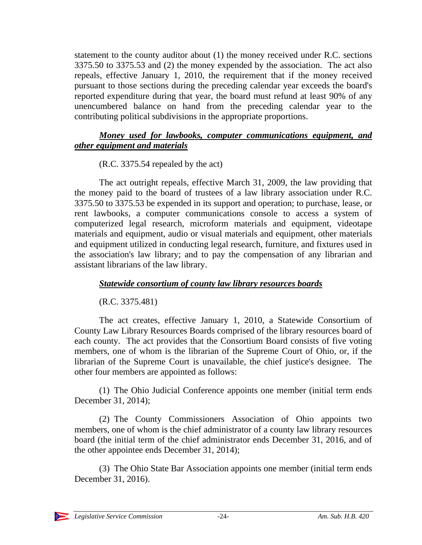statement to the county auditor about (1) the money received under R.C. sections 3375.50 to 3375.53 and (2) the money expended by the association. The act also repeals, effective January 1, 2010, the requirement that if the money received pursuant to those sections during the preceding calendar year exceeds the board's reported expenditure during that year, the board must refund at least 90% of any unencumbered balance on hand from the preceding calendar year to the contributing political subdivisions in the appropriate proportions.

#### *Money used for lawbooks, computer communications equipment, and other equipment and materials*

(R.C. 3375.54 repealed by the act)

The act outright repeals, effective March 31, 2009, the law providing that the money paid to the board of trustees of a law library association under R.C. 3375.50 to 3375.53 be expended in its support and operation; to purchase, lease, or rent lawbooks, a computer communications console to access a system of computerized legal research, microform materials and equipment, videotape materials and equipment, audio or visual materials and equipment, other materials and equipment utilized in conducting legal research, furniture, and fixtures used in the association's law library; and to pay the compensation of any librarian and assistant librarians of the law library.

### *Statewide consortium of county law library resources boards*

(R.C. 3375.481)

The act creates, effective January 1, 2010, a Statewide Consortium of County Law Library Resources Boards comprised of the library resources board of each county. The act provides that the Consortium Board consists of five voting members, one of whom is the librarian of the Supreme Court of Ohio, or, if the librarian of the Supreme Court is unavailable, the chief justice's designee. The other four members are appointed as follows:

(1) The Ohio Judicial Conference appoints one member (initial term ends December 31, 2014);

(2) The County Commissioners Association of Ohio appoints two members, one of whom is the chief administrator of a county law library resources board (the initial term of the chief administrator ends December 31, 2016, and of the other appointee ends December 31, 2014);

(3) The Ohio State Bar Association appoints one member (initial term ends December 31, 2016).

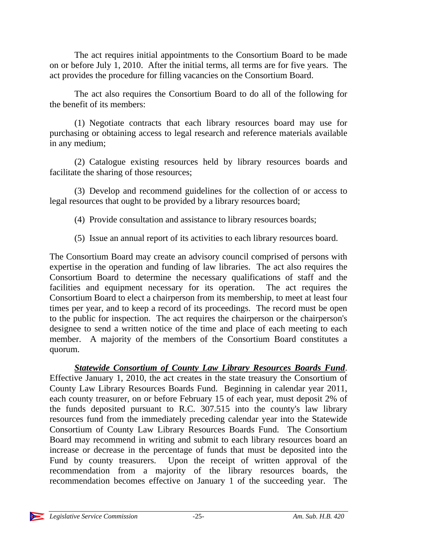The act requires initial appointments to the Consortium Board to be made on or before July 1, 2010. After the initial terms, all terms are for five years. The act provides the procedure for filling vacancies on the Consortium Board.

The act also requires the Consortium Board to do all of the following for the benefit of its members:

(1) Negotiate contracts that each library resources board may use for purchasing or obtaining access to legal research and reference materials available in any medium;

(2) Catalogue existing resources held by library resources boards and facilitate the sharing of those resources;

(3) Develop and recommend guidelines for the collection of or access to legal resources that ought to be provided by a library resources board;

- (4) Provide consultation and assistance to library resources boards;
- (5) Issue an annual report of its activities to each library resources board.

The Consortium Board may create an advisory council comprised of persons with expertise in the operation and funding of law libraries. The act also requires the Consortium Board to determine the necessary qualifications of staff and the facilities and equipment necessary for its operation. The act requires the Consortium Board to elect a chairperson from its membership, to meet at least four times per year, and to keep a record of its proceedings. The record must be open to the public for inspection. The act requires the chairperson or the chairperson's designee to send a written notice of the time and place of each meeting to each member. A majority of the members of the Consortium Board constitutes a quorum.

*Statewide Consortium of County Law Library Resources Boards Fund*. Effective January 1, 2010, the act creates in the state treasury the Consortium of County Law Library Resources Boards Fund. Beginning in calendar year 2011, each county treasurer, on or before February 15 of each year, must deposit 2% of the funds deposited pursuant to R.C. 307.515 into the county's law library resources fund from the immediately preceding calendar year into the Statewide Consortium of County Law Library Resources Boards Fund. The Consortium Board may recommend in writing and submit to each library resources board an increase or decrease in the percentage of funds that must be deposited into the Fund by county treasurers. Upon the receipt of written approval of the recommendation from a majority of the library resources boards, the recommendation becomes effective on January 1 of the succeeding year. The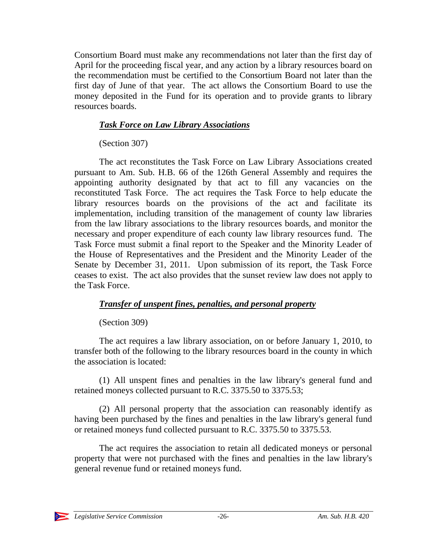Consortium Board must make any recommendations not later than the first day of April for the proceeding fiscal year, and any action by a library resources board on the recommendation must be certified to the Consortium Board not later than the first day of June of that year. The act allows the Consortium Board to use the money deposited in the Fund for its operation and to provide grants to library resources boards.

### *Task Force on Law Library Associations*

(Section 307)

The act reconstitutes the Task Force on Law Library Associations created pursuant to Am. Sub. H.B. 66 of the 126th General Assembly and requires the appointing authority designated by that act to fill any vacancies on the reconstituted Task Force. The act requires the Task Force to help educate the library resources boards on the provisions of the act and facilitate its implementation, including transition of the management of county law libraries from the law library associations to the library resources boards, and monitor the necessary and proper expenditure of each county law library resources fund. The Task Force must submit a final report to the Speaker and the Minority Leader of the House of Representatives and the President and the Minority Leader of the Senate by December 31, 2011. Upon submission of its report, the Task Force ceases to exist. The act also provides that the sunset review law does not apply to the Task Force.

## *Transfer of unspent fines, penalties, and personal property*

## (Section 309)

The act requires a law library association, on or before January 1, 2010, to transfer both of the following to the library resources board in the county in which the association is located:

(1) All unspent fines and penalties in the law library's general fund and retained moneys collected pursuant to R.C. 3375.50 to 3375.53;

(2) All personal property that the association can reasonably identify as having been purchased by the fines and penalties in the law library's general fund or retained moneys fund collected pursuant to R.C. 3375.50 to 3375.53.

The act requires the association to retain all dedicated moneys or personal property that were not purchased with the fines and penalties in the law library's general revenue fund or retained moneys fund.

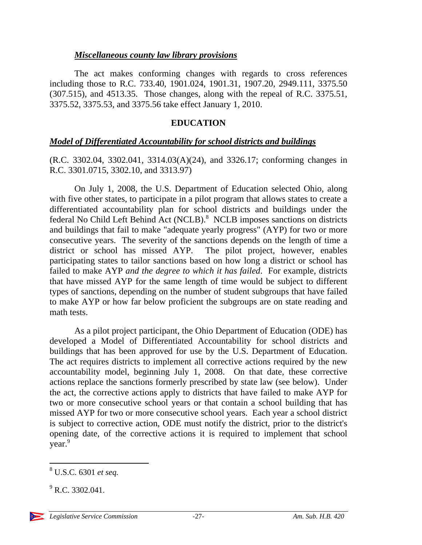#### *Miscellaneous county law library provisions*

The act makes conforming changes with regards to cross references including those to R.C. 733.40, 1901.024, 1901.31, 1907.20, 2949.111, 3375.50 (307.515), and 4513.35. Those changes, along with the repeal of R.C. 3375.51, 3375.52, 3375.53, and 3375.56 take effect January 1, 2010.

#### **EDUCATION**

#### *Model of Differentiated Accountability for school districts and buildings*

(R.C. 3302.04, 3302.041, 3314.03(A)(24), and 3326.17; conforming changes in R.C. 3301.0715, 3302.10, and 3313.97)

On July 1, 2008, the U.S. Department of Education selected Ohio, along with five other states, to participate in a pilot program that allows states to create a differentiated accountability plan for school districts and buildings under the federal No Child Left Behind Act (NCLB).<sup>8</sup> NCLB imposes sanctions on districts and buildings that fail to make "adequate yearly progress" (AYP) for two or more consecutive years. The severity of the sanctions depends on the length of time a district or school has missed AYP. The pilot project, however, enables participating states to tailor sanctions based on how long a district or school has failed to make AYP *and the degree to which it has failed*. For example, districts that have missed AYP for the same length of time would be subject to different types of sanctions, depending on the number of student subgroups that have failed to make AYP or how far below proficient the subgroups are on state reading and math tests.

As a pilot project participant, the Ohio Department of Education (ODE) has developed a Model of Differentiated Accountability for school districts and buildings that has been approved for use by the U.S. Department of Education. The act requires districts to implement all corrective actions required by the new accountability model, beginning July 1, 2008. On that date, these corrective actions replace the sanctions formerly prescribed by state law (see below). Under the act, the corrective actions apply to districts that have failed to make AYP for two or more consecutive school years or that contain a school building that has missed AYP for two or more consecutive school years. Each year a school district is subject to corrective action, ODE must notify the district, prior to the district's opening date, of the corrective actions it is required to implement that school year.<sup>9</sup>

 $\overline{a}$ 

<sup>8</sup> U.S.C. 6301 *et seq.* 

 $^{9}$  R.C. 3302.041.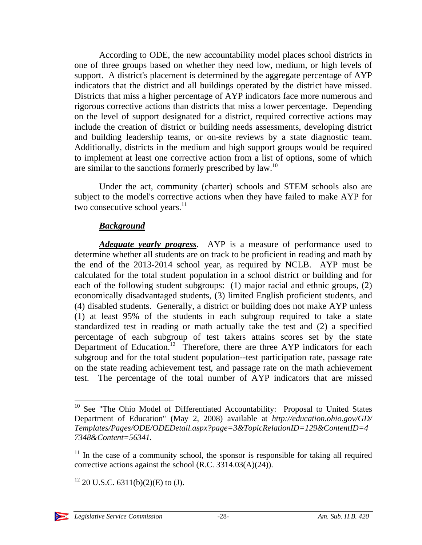According to ODE, the new accountability model places school districts in one of three groups based on whether they need low, medium, or high levels of support. A district's placement is determined by the aggregate percentage of AYP indicators that the district and all buildings operated by the district have missed. Districts that miss a higher percentage of AYP indicators face more numerous and rigorous corrective actions than districts that miss a lower percentage. Depending on the level of support designated for a district, required corrective actions may include the creation of district or building needs assessments, developing district and building leadership teams, or on-site reviews by a state diagnostic team. Additionally, districts in the medium and high support groups would be required to implement at least one corrective action from a list of options, some of which are similar to the sanctions formerly prescribed by law.10

Under the act, community (charter) schools and STEM schools also are subject to the model's corrective actions when they have failed to make AYP for two consecutive school years. $11$ 

#### *Background*

*Adequate yearly progress*. AYP is a measure of performance used to determine whether all students are on track to be proficient in reading and math by the end of the 2013-2014 school year, as required by NCLB. AYP must be calculated for the total student population in a school district or building and for each of the following student subgroups: (1) major racial and ethnic groups, (2) economically disadvantaged students, (3) limited English proficient students, and (4) disabled students. Generally, a district or building does not make AYP unless (1) at least 95% of the students in each subgroup required to take a state standardized test in reading or math actually take the test and (2) a specified percentage of each subgroup of test takers attains scores set by the state Department of Education.<sup>12</sup> Therefore, there are three AYP indicators for each subgroup and for the total student population--test participation rate, passage rate on the state reading achievement test, and passage rate on the math achievement test. The percentage of the total number of AYP indicators that are missed

 $12$  20 U.S.C. 6311(b)(2)(E) to (J).



 $\overline{a}$ 

<sup>&</sup>lt;sup>10</sup> See "The Ohio Model of Differentiated Accountability: Proposal to United States Department of Education" (May 2, 2008) available at *http://education.ohio.gov/GD/ Templates/Pages/ODE/ODEDetail.aspx?page=3&TopicRelationID=129&ContentID=4 7348&Content=56341.* 

 $11$  In the case of a community school, the sponsor is responsible for taking all required corrective actions against the school (R.C. 3314.03(A)(24)).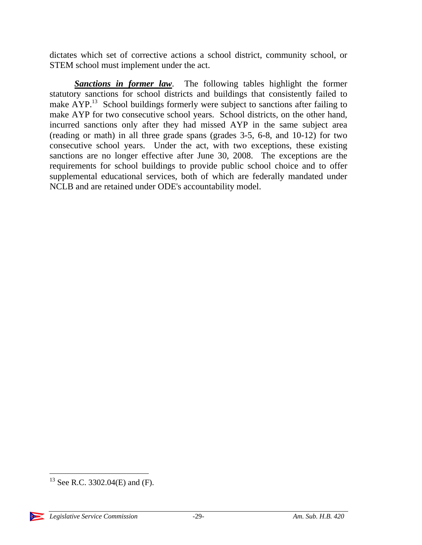dictates which set of corrective actions a school district, community school, or STEM school must implement under the act.

*Sanctions in former law*. The following tables highlight the former statutory sanctions for school districts and buildings that consistently failed to make  $\text{AYP}^{13}$  School buildings formerly were subject to sanctions after failing to make AYP for two consecutive school years. School districts, on the other hand, incurred sanctions only after they had missed AYP in the same subject area (reading or math) in all three grade spans (grades 3-5, 6-8, and 10-12) for two consecutive school years. Under the act, with two exceptions, these existing sanctions are no longer effective after June 30, 2008. The exceptions are the requirements for school buildings to provide public school choice and to offer supplemental educational services, both of which are federally mandated under NCLB and are retained under ODE's accountability model.

  $13$  See R.C. 3302.04(E) and (F).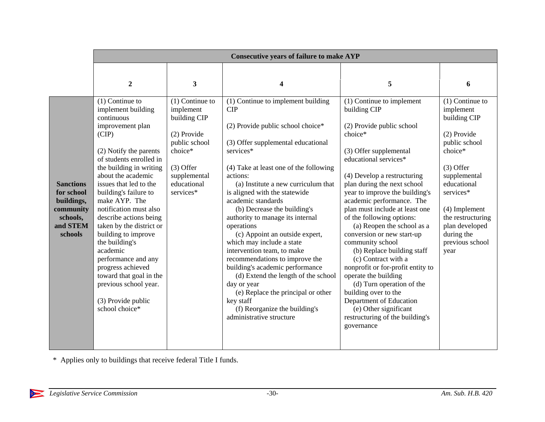|                                                                                              | <b>Consecutive years of failure to make AYP</b>                                                                                                                                                                                                                                                                                                                                                                                                                                                                                           |                                                                                                                                                      |                                                                                                                                                                                                                                                                                                                                                                                                                                                                                                                                                                                                                                                                                                                |                                                                                                                                                                                                                                                                                                                                                                                                                                                                                                                                                                                                                                                                                              |                                                                                                                                                                                                                                                       |
|----------------------------------------------------------------------------------------------|-------------------------------------------------------------------------------------------------------------------------------------------------------------------------------------------------------------------------------------------------------------------------------------------------------------------------------------------------------------------------------------------------------------------------------------------------------------------------------------------------------------------------------------------|------------------------------------------------------------------------------------------------------------------------------------------------------|----------------------------------------------------------------------------------------------------------------------------------------------------------------------------------------------------------------------------------------------------------------------------------------------------------------------------------------------------------------------------------------------------------------------------------------------------------------------------------------------------------------------------------------------------------------------------------------------------------------------------------------------------------------------------------------------------------------|----------------------------------------------------------------------------------------------------------------------------------------------------------------------------------------------------------------------------------------------------------------------------------------------------------------------------------------------------------------------------------------------------------------------------------------------------------------------------------------------------------------------------------------------------------------------------------------------------------------------------------------------------------------------------------------------|-------------------------------------------------------------------------------------------------------------------------------------------------------------------------------------------------------------------------------------------------------|
|                                                                                              | $\boldsymbol{2}$                                                                                                                                                                                                                                                                                                                                                                                                                                                                                                                          | 3                                                                                                                                                    | 4                                                                                                                                                                                                                                                                                                                                                                                                                                                                                                                                                                                                                                                                                                              | 5                                                                                                                                                                                                                                                                                                                                                                                                                                                                                                                                                                                                                                                                                            | 6                                                                                                                                                                                                                                                     |
| <b>Sanctions</b><br>for school<br>buildings,<br>community<br>schools,<br>and STEM<br>schools | $(1)$ Continue to<br>implement building<br>continuous<br>improvement plan<br>(CIP)<br>(2) Notify the parents<br>of students enrolled in<br>the building in writing<br>about the academic<br>issues that led to the<br>building's failure to<br>make AYP. The<br>notification must also<br>describe actions being<br>taken by the district or<br>building to improve<br>the building's<br>academic<br>performance and any<br>progress achieved<br>toward that goal in the<br>previous school year.<br>(3) Provide public<br>school choice* | $(1)$ Continue to<br>implement<br>building CIP<br>(2) Provide<br>public school<br>choice*<br>$(3)$ Offer<br>supplemental<br>educational<br>services* | (1) Continue to implement building<br>CIP<br>(2) Provide public school choice*<br>(3) Offer supplemental educational<br>services*<br>(4) Take at least one of the following<br>actions:<br>(a) Institute a new curriculum that<br>is aligned with the statewide<br>academic standards<br>(b) Decrease the building's<br>authority to manage its internal<br>operations<br>(c) Appoint an outside expert,<br>which may include a state<br>intervention team, to make<br>recommendations to improve the<br>building's academic performance<br>(d) Extend the length of the school<br>day or year<br>(e) Replace the principal or other<br>key staff<br>(f) Reorganize the building's<br>administrative structure | (1) Continue to implement<br>building CIP<br>(2) Provide public school<br>choice*<br>(3) Offer supplemental<br>educational services*<br>(4) Develop a restructuring<br>plan during the next school<br>year to improve the building's<br>academic performance. The<br>plan must include at least one<br>of the following options:<br>(a) Reopen the school as a<br>conversion or new start-up<br>community school<br>(b) Replace building staff<br>(c) Contract with a<br>nonprofit or for-profit entity to<br>operate the building<br>(d) Turn operation of the<br>building over to the<br>Department of Education<br>(e) Other significant<br>restructuring of the building's<br>governance | $(1)$ Continue to<br>implement<br>building CIP<br>(2) Provide<br>public school<br>choice*<br>$(3)$ Offer<br>supplemental<br>educational<br>services*<br>(4) Implement<br>the restructuring<br>plan developed<br>during the<br>previous school<br>year |

\* Applies only to buildings that receive federal Title I funds.

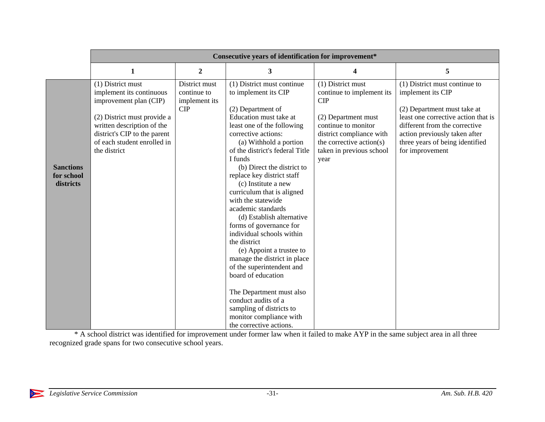|                                             | Consecutive years of identification for improvement*                                                                                                                                                                |                                                      |                                                                                                                                                                                                                                                                                                                                                                                                                                                                                                                                                                                                                                                                                                                                                      |                                                                                                                                                                                                 |                                                                                                                                                                                                                                                  |
|---------------------------------------------|---------------------------------------------------------------------------------------------------------------------------------------------------------------------------------------------------------------------|------------------------------------------------------|------------------------------------------------------------------------------------------------------------------------------------------------------------------------------------------------------------------------------------------------------------------------------------------------------------------------------------------------------------------------------------------------------------------------------------------------------------------------------------------------------------------------------------------------------------------------------------------------------------------------------------------------------------------------------------------------------------------------------------------------------|-------------------------------------------------------------------------------------------------------------------------------------------------------------------------------------------------|--------------------------------------------------------------------------------------------------------------------------------------------------------------------------------------------------------------------------------------------------|
|                                             | 1                                                                                                                                                                                                                   | $\boldsymbol{2}$                                     | 3                                                                                                                                                                                                                                                                                                                                                                                                                                                                                                                                                                                                                                                                                                                                                    | 4                                                                                                                                                                                               | 5                                                                                                                                                                                                                                                |
| <b>Sanctions</b><br>for school<br>districts | (1) District must<br>implement its continuous<br>improvement plan (CIP)<br>(2) District must provide a<br>written description of the<br>district's CIP to the parent<br>of each student enrolled in<br>the district | District must<br>continue to<br>implement its<br>CIP | (1) District must continue<br>to implement its CIP<br>(2) Department of<br>Education must take at<br>least one of the following<br>corrective actions:<br>(a) Withhold a portion<br>of the district's federal Title<br>I funds<br>(b) Direct the district to<br>replace key district staff<br>(c) Institute a new<br>curriculum that is aligned<br>with the statewide<br>academic standards<br>(d) Establish alternative<br>forms of governance for<br>individual schools within<br>the district<br>(e) Appoint a trustee to<br>manage the district in place<br>of the superintendent and<br>board of education<br>The Department must also<br>conduct audits of a<br>sampling of districts to<br>monitor compliance with<br>the corrective actions. | (1) District must<br>continue to implement its<br>CIP<br>(2) Department must<br>continue to monitor<br>district compliance with<br>the corrective action(s)<br>taken in previous school<br>year | (1) District must continue to<br>implement its CIP<br>(2) Department must take at<br>least one corrective action that is<br>different from the corrective<br>action previously taken after<br>three years of being identified<br>for improvement |

<sup>\*</sup> A school district was identified for improvement under former law when it failed to make AYP in the same subject area in all three recognized grade spans for two consecutive school years.

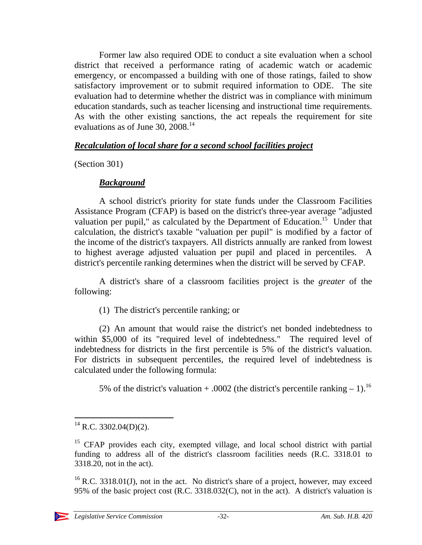Former law also required ODE to conduct a site evaluation when a school district that received a performance rating of academic watch or academic emergency, or encompassed a building with one of those ratings, failed to show satisfactory improvement or to submit required information to ODE. The site evaluation had to determine whether the district was in compliance with minimum education standards, such as teacher licensing and instructional time requirements. As with the other existing sanctions, the act repeals the requirement for site evaluations as of June 30,  $2008.<sup>14</sup>$ 

#### *Recalculation of local share for a second school facilities project*

(Section 301)

### *Background*

A school district's priority for state funds under the Classroom Facilities Assistance Program (CFAP) is based on the district's three-year average "adjusted valuation per pupil," as calculated by the Department of Education.<sup>15</sup> Under that calculation, the district's taxable "valuation per pupil" is modified by a factor of the income of the district's taxpayers. All districts annually are ranked from lowest to highest average adjusted valuation per pupil and placed in percentiles. A district's percentile ranking determines when the district will be served by CFAP.

A district's share of a classroom facilities project is the *greater* of the following:

(1) The district's percentile ranking; or

(2) An amount that would raise the district's net bonded indebtedness to within \$5,000 of its "required level of indebtedness." The required level of indebtedness for districts in the first percentile is 5% of the district's valuation. For districts in subsequent percentiles, the required level of indebtedness is calculated under the following formula:

5% of the district's valuation + .0002 (the district's percentile ranking  $- 1$ ).<sup>16</sup>

 $16$  R.C. 3318.01(J), not in the act. No district's share of a project, however, may exceed 95% of the basic project cost (R.C. 3318.032(C), not in the act). A district's valuation is



 $\overline{a}$  $^{14}$  R.C. 3302.04(D)(2).

<sup>&</sup>lt;sup>15</sup> CFAP provides each city, exempted village, and local school district with partial funding to address all of the district's classroom facilities needs (R.C. 3318.01 to 3318.20, not in the act).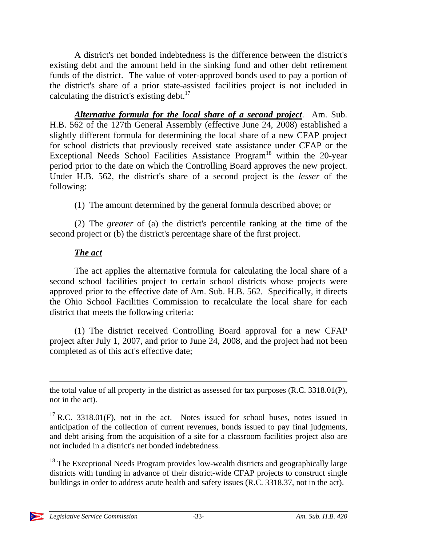A district's net bonded indebtedness is the difference between the district's existing debt and the amount held in the sinking fund and other debt retirement funds of the district. The value of voter-approved bonds used to pay a portion of the district's share of a prior state-assisted facilities project is not included in calculating the district's existing debt. $17$ 

*Alternative formula for the local share of a second project*. Am. Sub. H.B. 562 of the 127th General Assembly (effective June 24, 2008) established a slightly different formula for determining the local share of a new CFAP project for school districts that previously received state assistance under CFAP or the Exceptional Needs School Facilities Assistance Program<sup>18</sup> within the 20-year period prior to the date on which the Controlling Board approves the new project. Under H.B. 562, the district's share of a second project is the *lesser* of the following:

(1) The amount determined by the general formula described above; or

(2) The *greater* of (a) the district's percentile ranking at the time of the second project or (b) the district's percentage share of the first project.

### *The act*

The act applies the alternative formula for calculating the local share of a second school facilities project to certain school districts whose projects were approved prior to the effective date of Am. Sub. H.B. 562. Specifically, it directs the Ohio School Facilities Commission to recalculate the local share for each district that meets the following criteria:

(1) The district received Controlling Board approval for a new CFAP project after July 1, 2007, and prior to June 24, 2008, and the project had not been completed as of this act's effective date;

the total value of all property in the district as assessed for tax purposes (R.C. 3318.01(P), not in the act).

 $17$  R.C. 3318.01(F), not in the act. Notes issued for school buses, notes issued in anticipation of the collection of current revenues, bonds issued to pay final judgments, and debt arising from the acquisition of a site for a classroom facilities project also are not included in a district's net bonded indebtedness.

 $18$  The Exceptional Needs Program provides low-wealth districts and geographically large districts with funding in advance of their district-wide CFAP projects to construct single buildings in order to address acute health and safety issues (R.C. 3318.37, not in the act).

 $\overline{a}$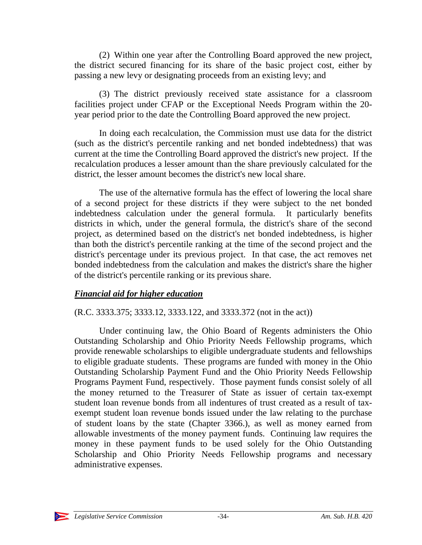(2) Within one year after the Controlling Board approved the new project, the district secured financing for its share of the basic project cost, either by passing a new levy or designating proceeds from an existing levy; and

(3) The district previously received state assistance for a classroom facilities project under CFAP or the Exceptional Needs Program within the 20 year period prior to the date the Controlling Board approved the new project.

In doing each recalculation, the Commission must use data for the district (such as the district's percentile ranking and net bonded indebtedness) that was current at the time the Controlling Board approved the district's new project. If the recalculation produces a lesser amount than the share previously calculated for the district, the lesser amount becomes the district's new local share.

The use of the alternative formula has the effect of lowering the local share of a second project for these districts if they were subject to the net bonded indebtedness calculation under the general formula. It particularly benefits districts in which, under the general formula, the district's share of the second project, as determined based on the district's net bonded indebtedness, is higher than both the district's percentile ranking at the time of the second project and the district's percentage under its previous project. In that case, the act removes net bonded indebtedness from the calculation and makes the district's share the higher of the district's percentile ranking or its previous share.

### *Financial aid for higher education*

### (R.C. 3333.375; 3333.12, 3333.122, and 3333.372 (not in the act))

Under continuing law, the Ohio Board of Regents administers the Ohio Outstanding Scholarship and Ohio Priority Needs Fellowship programs, which provide renewable scholarships to eligible undergraduate students and fellowships to eligible graduate students. These programs are funded with money in the Ohio Outstanding Scholarship Payment Fund and the Ohio Priority Needs Fellowship Programs Payment Fund, respectively. Those payment funds consist solely of all the money returned to the Treasurer of State as issuer of certain tax-exempt student loan revenue bonds from all indentures of trust created as a result of taxexempt student loan revenue bonds issued under the law relating to the purchase of student loans by the state (Chapter 3366.), as well as money earned from allowable investments of the money payment funds. Continuing law requires the money in these payment funds to be used solely for the Ohio Outstanding Scholarship and Ohio Priority Needs Fellowship programs and necessary administrative expenses.

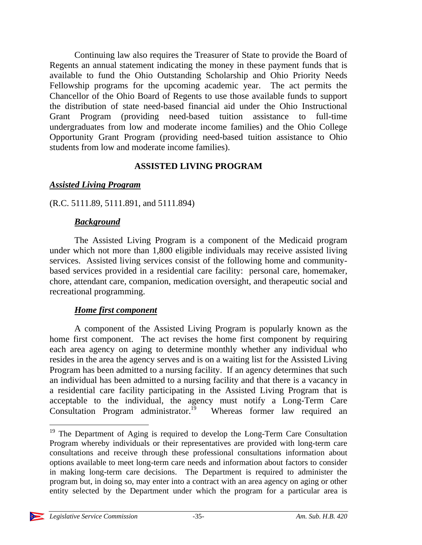Continuing law also requires the Treasurer of State to provide the Board of Regents an annual statement indicating the money in these payment funds that is available to fund the Ohio Outstanding Scholarship and Ohio Priority Needs Fellowship programs for the upcoming academic year. The act permits the Chancellor of the Ohio Board of Regents to use those available funds to support the distribution of state need-based financial aid under the Ohio Instructional Grant Program (providing need-based tuition assistance to full-time undergraduates from low and moderate income families) and the Ohio College Opportunity Grant Program (providing need-based tuition assistance to Ohio students from low and moderate income families).

#### **ASSISTED LIVING PROGRAM**

#### *Assisted Living Program*

(R.C. 5111.89, 5111.891, and 5111.894)

#### *Background*

The Assisted Living Program is a component of the Medicaid program under which not more than 1,800 eligible individuals may receive assisted living services. Assisted living services consist of the following home and communitybased services provided in a residential care facility: personal care, homemaker, chore, attendant care, companion, medication oversight, and therapeutic social and recreational programming.

### *Home first component*

A component of the Assisted Living Program is popularly known as the home first component. The act revises the home first component by requiring each area agency on aging to determine monthly whether any individual who resides in the area the agency serves and is on a waiting list for the Assisted Living Program has been admitted to a nursing facility. If an agency determines that such an individual has been admitted to a nursing facility and that there is a vacancy in a residential care facility participating in the Assisted Living Program that is acceptable to the individual, the agency must notify a Long-Term Care Consultation Program administrator.<sup>19</sup> Whereas former law required an

 $\overline{a}$ 

<sup>&</sup>lt;sup>19</sup> The Department of Aging is required to develop the Long-Term Care Consultation Program whereby individuals or their representatives are provided with long-term care consultations and receive through these professional consultations information about options available to meet long-term care needs and information about factors to consider in making long-term care decisions. The Department is required to administer the program but, in doing so, may enter into a contract with an area agency on aging or other entity selected by the Department under which the program for a particular area is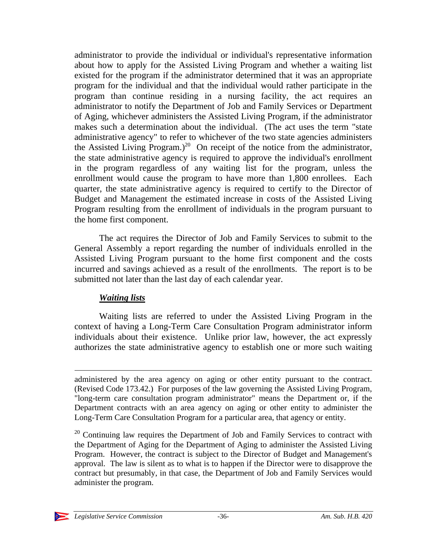administrator to provide the individual or individual's representative information about how to apply for the Assisted Living Program and whether a waiting list existed for the program if the administrator determined that it was an appropriate program for the individual and that the individual would rather participate in the program than continue residing in a nursing facility, the act requires an administrator to notify the Department of Job and Family Services or Department of Aging, whichever administers the Assisted Living Program, if the administrator makes such a determination about the individual. (The act uses the term "state administrative agency" to refer to whichever of the two state agencies administers the Assisted Living Program.)<sup>20</sup> On receipt of the notice from the administrator, the state administrative agency is required to approve the individual's enrollment in the program regardless of any waiting list for the program, unless the enrollment would cause the program to have more than 1,800 enrollees. Each quarter, the state administrative agency is required to certify to the Director of Budget and Management the estimated increase in costs of the Assisted Living Program resulting from the enrollment of individuals in the program pursuant to the home first component.

The act requires the Director of Job and Family Services to submit to the General Assembly a report regarding the number of individuals enrolled in the Assisted Living Program pursuant to the home first component and the costs incurred and savings achieved as a result of the enrollments. The report is to be submitted not later than the last day of each calendar year.

### *Waiting lists*

Waiting lists are referred to under the Assisted Living Program in the context of having a Long-Term Care Consultation Program administrator inform individuals about their existence. Unlike prior law, however, the act expressly authorizes the state administrative agency to establish one or more such waiting

 $20$  Continuing law requires the Department of Job and Family Services to contract with the Department of Aging for the Department of Aging to administer the Assisted Living Program. However, the contract is subject to the Director of Budget and Management's approval. The law is silent as to what is to happen if the Director were to disapprove the contract but presumably, in that case, the Department of Job and Family Services would administer the program.



administered by the area agency on aging or other entity pursuant to the contract. (Revised Code 173.42.) For purposes of the law governing the Assisted Living Program, "long-term care consultation program administrator" means the Department or, if the Department contracts with an area agency on aging or other entity to administer the Long-Term Care Consultation Program for a particular area, that agency or entity.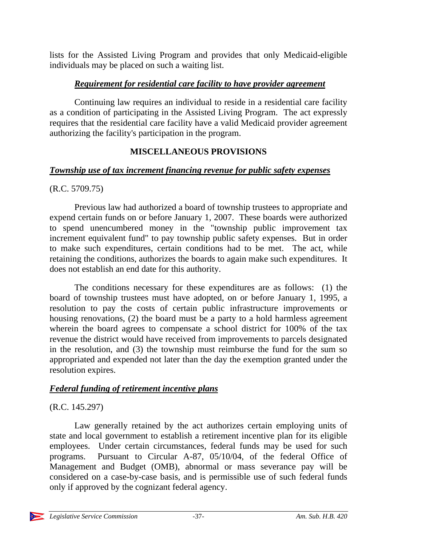lists for the Assisted Living Program and provides that only Medicaid-eligible individuals may be placed on such a waiting list.

### *Requirement for residential care facility to have provider agreement*

Continuing law requires an individual to reside in a residential care facility as a condition of participating in the Assisted Living Program. The act expressly requires that the residential care facility have a valid Medicaid provider agreement authorizing the facility's participation in the program.

## **MISCELLANEOUS PROVISIONS**

### *Township use of tax increment financing revenue for public safety expenses*

### (R.C. 5709.75)

Previous law had authorized a board of township trustees to appropriate and expend certain funds on or before January 1, 2007. These boards were authorized to spend unencumbered money in the "township public improvement tax increment equivalent fund" to pay township public safety expenses. But in order to make such expenditures, certain conditions had to be met. The act, while retaining the conditions, authorizes the boards to again make such expenditures. It does not establish an end date for this authority.

The conditions necessary for these expenditures are as follows: (1) the board of township trustees must have adopted, on or before January 1, 1995, a resolution to pay the costs of certain public infrastructure improvements or housing renovations, (2) the board must be a party to a hold harmless agreement wherein the board agrees to compensate a school district for 100% of the tax revenue the district would have received from improvements to parcels designated in the resolution, and (3) the township must reimburse the fund for the sum so appropriated and expended not later than the day the exemption granted under the resolution expires.

## *Federal funding of retirement incentive plans*

## (R.C. 145.297)

Law generally retained by the act authorizes certain employing units of state and local government to establish a retirement incentive plan for its eligible employees. Under certain circumstances, federal funds may be used for such programs. Pursuant to Circular A-87, 05/10/04, of the federal Office of Management and Budget (OMB), abnormal or mass severance pay will be considered on a case-by-case basis, and is permissible use of such federal funds only if approved by the cognizant federal agency.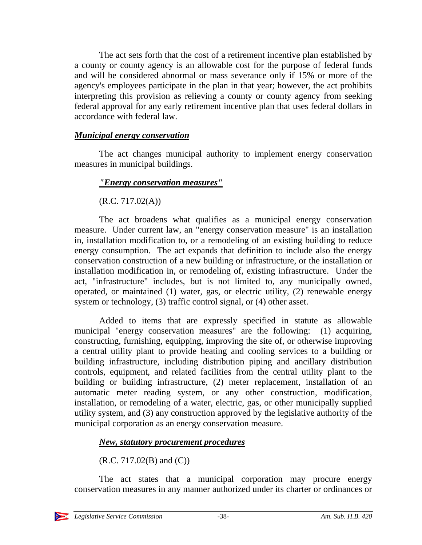The act sets forth that the cost of a retirement incentive plan established by a county or county agency is an allowable cost for the purpose of federal funds and will be considered abnormal or mass severance only if 15% or more of the agency's employees participate in the plan in that year; however, the act prohibits interpreting this provision as relieving a county or county agency from seeking federal approval for any early retirement incentive plan that uses federal dollars in accordance with federal law.

#### *Municipal energy conservation*

The act changes municipal authority to implement energy conservation measures in municipal buildings.

### *"Energy conservation measures"*

 $(R.C. 717.02(A))$ 

The act broadens what qualifies as a municipal energy conservation measure. Under current law, an "energy conservation measure" is an installation in, installation modification to, or a remodeling of an existing building to reduce energy consumption. The act expands that definition to include also the energy conservation construction of a new building or infrastructure, or the installation or installation modification in, or remodeling of, existing infrastructure. Under the act, "infrastructure" includes, but is not limited to, any municipally owned, operated, or maintained (1) water, gas, or electric utility, (2) renewable energy system or technology, (3) traffic control signal, or (4) other asset.

Added to items that are expressly specified in statute as allowable municipal "energy conservation measures" are the following: (1) acquiring, constructing, furnishing, equipping, improving the site of, or otherwise improving a central utility plant to provide heating and cooling services to a building or building infrastructure, including distribution piping and ancillary distribution controls, equipment, and related facilities from the central utility plant to the building or building infrastructure, (2) meter replacement, installation of an automatic meter reading system, or any other construction, modification, installation, or remodeling of a water, electric, gas, or other municipally supplied utility system, and (3) any construction approved by the legislative authority of the municipal corporation as an energy conservation measure.

### *New, statutory procurement procedures*

 $(R.C. 717.02(B)$  and  $(C))$ 

The act states that a municipal corporation may procure energy conservation measures in any manner authorized under its charter or ordinances or

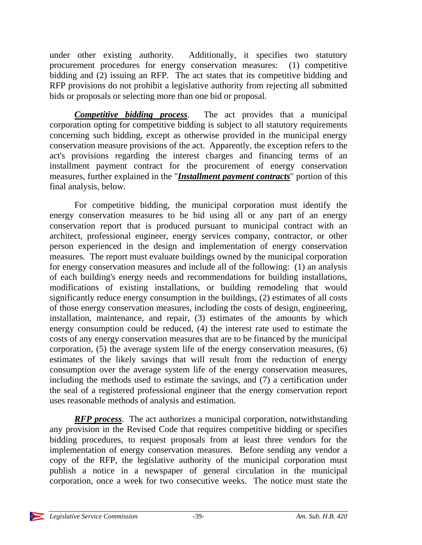under other existing authority. Additionally, it specifies two statutory procurement procedures for energy conservation measures: (1) competitive bidding and (2) issuing an RFP. The act states that its competitive bidding and RFP provisions do not prohibit a legislative authority from rejecting all submitted bids or proposals or selecting more than one bid or proposal.

*Competitive bidding process*. The act provides that a municipal corporation opting for competitive bidding is subject to all statutory requirements concerning such bidding, except as otherwise provided in the municipal energy conservation measure provisions of the act. Apparently, the exception refers to the act's provisions regarding the interest charges and financing terms of an installment payment contract for the procurement of energy conservation measures, further explained in the "*Installment payment contracts*" portion of this final analysis, below.

For competitive bidding, the municipal corporation must identify the energy conservation measures to be bid using all or any part of an energy conservation report that is produced pursuant to municipal contract with an architect, professional engineer, energy services company, contractor, or other person experienced in the design and implementation of energy conservation measures. The report must evaluate buildings owned by the municipal corporation for energy conservation measures and include all of the following: (1) an analysis of each building's energy needs and recommendations for building installations, modifications of existing installations, or building remodeling that would significantly reduce energy consumption in the buildings, (2) estimates of all costs of those energy conservation measures, including the costs of design, engineering, installation, maintenance, and repair, (3) estimates of the amounts by which energy consumption could be reduced, (4) the interest rate used to estimate the costs of any energy conservation measures that are to be financed by the municipal corporation, (5) the average system life of the energy conservation measures, (6) estimates of the likely savings that will result from the reduction of energy consumption over the average system life of the energy conservation measures, including the methods used to estimate the savings, and (7) a certification under the seal of a registered professional engineer that the energy conservation report uses reasonable methods of analysis and estimation.

*RFP process*. The act authorizes a municipal corporation, notwithstanding any provision in the Revised Code that requires competitive bidding or specifies bidding procedures, to request proposals from at least three vendors for the implementation of energy conservation measures. Before sending any vendor a copy of the RFP, the legislative authority of the municipal corporation must publish a notice in a newspaper of general circulation in the municipal corporation, once a week for two consecutive weeks. The notice must state the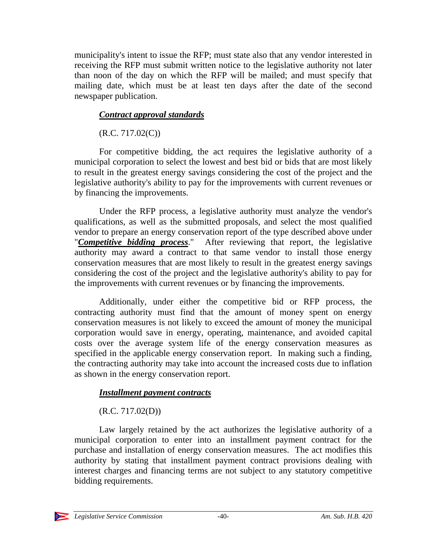municipality's intent to issue the RFP; must state also that any vendor interested in receiving the RFP must submit written notice to the legislative authority not later than noon of the day on which the RFP will be mailed; and must specify that mailing date, which must be at least ten days after the date of the second newspaper publication.

### *Contract approval standards*

 $(R.C. 717.02(C))$ 

For competitive bidding, the act requires the legislative authority of a municipal corporation to select the lowest and best bid or bids that are most likely to result in the greatest energy savings considering the cost of the project and the legislative authority's ability to pay for the improvements with current revenues or by financing the improvements.

Under the RFP process, a legislative authority must analyze the vendor's qualifications, as well as the submitted proposals, and select the most qualified vendor to prepare an energy conservation report of the type described above under "*Competitive bidding process*." After reviewing that report, the legislative After reviewing that report, the legislative authority may award a contract to that same vendor to install those energy conservation measures that are most likely to result in the greatest energy savings considering the cost of the project and the legislative authority's ability to pay for the improvements with current revenues or by financing the improvements.

Additionally, under either the competitive bid or RFP process, the contracting authority must find that the amount of money spent on energy conservation measures is not likely to exceed the amount of money the municipal corporation would save in energy, operating, maintenance, and avoided capital costs over the average system life of the energy conservation measures as specified in the applicable energy conservation report. In making such a finding, the contracting authority may take into account the increased costs due to inflation as shown in the energy conservation report.

### *Installment payment contracts*

## $(R.C. 717.02(D))$

Law largely retained by the act authorizes the legislative authority of a municipal corporation to enter into an installment payment contract for the purchase and installation of energy conservation measures. The act modifies this authority by stating that installment payment contract provisions dealing with interest charges and financing terms are not subject to any statutory competitive bidding requirements.

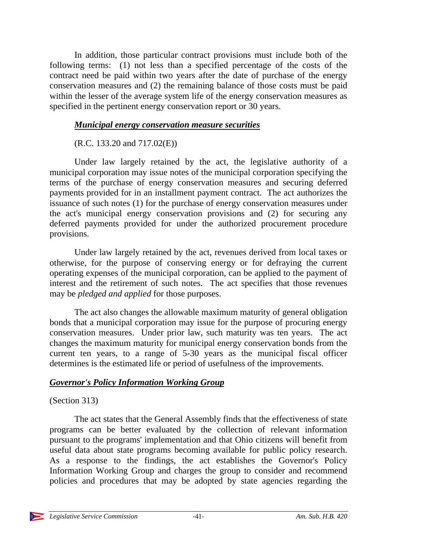In addition, those particular contract provisions must include both of the following terms: (1) not less than a specified percentage of the costs of the contract need be paid within two years after the date of purchase of the energy conservation measures and (2) the remaining balance of those costs must be paid within the lesser of the average system life of the energy conservation measures as specified in the pertinent energy conservation report or 30 years.

#### *Municipal energy conservation measure securities*

### (R.C. 133.20 and 717.02(E))

Under law largely retained by the act, the legislative authority of a municipal corporation may issue notes of the municipal corporation specifying the terms of the purchase of energy conservation measures and securing deferred payments provided for in an installment payment contract. The act authorizes the issuance of such notes (1) for the purchase of energy conservation measures under the act's municipal energy conservation provisions and (2) for securing any deferred payments provided for under the authorized procurement procedure provisions.

Under law largely retained by the act, revenues derived from local taxes or otherwise, for the purpose of conserving energy or for defraying the current operating expenses of the municipal corporation, can be applied to the payment of interest and the retirement of such notes. The act specifies that those revenues may be *pledged and applied* for those purposes.

The act also changes the allowable maximum maturity of general obligation bonds that a municipal corporation may issue for the purpose of procuring energy conservation measures. Under prior law, such maturity was ten years. The act changes the maximum maturity for municipal energy conservation bonds from the current ten years, to a range of 5-30 years as the municipal fiscal officer determines is the estimated life or period of usefulness of the improvements.

### *Governor's Policy Information Working Group*

### (Section 313)

The act states that the General Assembly finds that the effectiveness of state programs can be better evaluated by the collection of relevant information pursuant to the programs' implementation and that Ohio citizens will benefit from useful data about state programs becoming available for public policy research. As a response to the findings, the act establishes the Governor's Policy Information Working Group and charges the group to consider and recommend policies and procedures that may be adopted by state agencies regarding the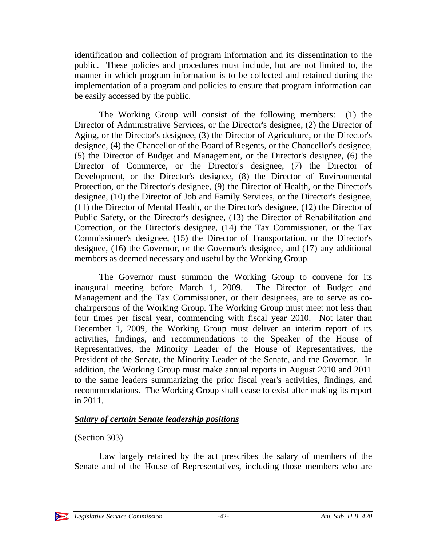identification and collection of program information and its dissemination to the public. These policies and procedures must include, but are not limited to, the manner in which program information is to be collected and retained during the implementation of a program and policies to ensure that program information can be easily accessed by the public.

The Working Group will consist of the following members: (1) the Director of Administrative Services, or the Director's designee, (2) the Director of Aging, or the Director's designee, (3) the Director of Agriculture, or the Director's designee, (4) the Chancellor of the Board of Regents, or the Chancellor's designee, (5) the Director of Budget and Management, or the Director's designee, (6) the Director of Commerce, or the Director's designee, (7) the Director of Development, or the Director's designee, (8) the Director of Environmental Protection, or the Director's designee, (9) the Director of Health, or the Director's designee, (10) the Director of Job and Family Services, or the Director's designee, (11) the Director of Mental Health, or the Director's designee, (12) the Director of Public Safety, or the Director's designee, (13) the Director of Rehabilitation and Correction, or the Director's designee, (14) the Tax Commissioner, or the Tax Commissioner's designee, (15) the Director of Transportation, or the Director's designee, (16) the Governor, or the Governor's designee, and (17) any additional members as deemed necessary and useful by the Working Group.

The Governor must summon the Working Group to convene for its inaugural meeting before March 1, 2009. The Director of Budget and Management and the Tax Commissioner, or their designees, are to serve as cochairpersons of the Working Group. The Working Group must meet not less than four times per fiscal year, commencing with fiscal year 2010. Not later than December 1, 2009, the Working Group must deliver an interim report of its activities, findings, and recommendations to the Speaker of the House of Representatives, the Minority Leader of the House of Representatives, the President of the Senate, the Minority Leader of the Senate, and the Governor. In addition, the Working Group must make annual reports in August 2010 and 2011 to the same leaders summarizing the prior fiscal year's activities, findings, and recommendations. The Working Group shall cease to exist after making its report in 2011.

### *Salary of certain Senate leadership positions*

### (Section 303)

Law largely retained by the act prescribes the salary of members of the Senate and of the House of Representatives, including those members who are

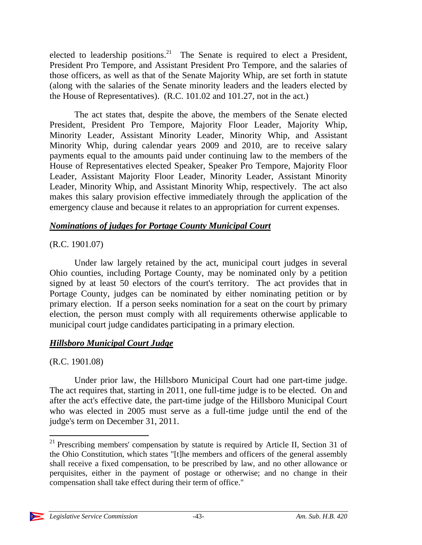elected to leadership positions.<sup>21</sup> The Senate is required to elect a President, President Pro Tempore, and Assistant President Pro Tempore, and the salaries of those officers, as well as that of the Senate Majority Whip, are set forth in statute (along with the salaries of the Senate minority leaders and the leaders elected by the House of Representatives). (R.C. 101.02 and 101.27, not in the act.)

The act states that, despite the above, the members of the Senate elected President, President Pro Tempore, Majority Floor Leader, Majority Whip, Minority Leader, Assistant Minority Leader, Minority Whip, and Assistant Minority Whip, during calendar years 2009 and 2010, are to receive salary payments equal to the amounts paid under continuing law to the members of the House of Representatives elected Speaker, Speaker Pro Tempore, Majority Floor Leader, Assistant Majority Floor Leader, Minority Leader, Assistant Minority Leader, Minority Whip, and Assistant Minority Whip, respectively. The act also makes this salary provision effective immediately through the application of the emergency clause and because it relates to an appropriation for current expenses.

### *Nominations of judges for Portage County Municipal Court*

### (R.C. 1901.07)

Under law largely retained by the act, municipal court judges in several Ohio counties, including Portage County, may be nominated only by a petition signed by at least 50 electors of the court's territory. The act provides that in Portage County, judges can be nominated by either nominating petition or by primary election. If a person seeks nomination for a seat on the court by primary election, the person must comply with all requirements otherwise applicable to municipal court judge candidates participating in a primary election.

### *Hillsboro Municipal Court Judge*

### (R.C. 1901.08)

 $\overline{a}$ 

Under prior law, the Hillsboro Municipal Court had one part-time judge. The act requires that, starting in 2011, one full-time judge is to be elected. On and after the act's effective date, the part-time judge of the Hillsboro Municipal Court who was elected in 2005 must serve as a full-time judge until the end of the judge's term on December 31, 2011.

 $21$  Prescribing members' compensation by statute is required by Article II, Section 31 of the Ohio Constitution, which states "[t]he members and officers of the general assembly shall receive a fixed compensation, to be prescribed by law, and no other allowance or perquisites, either in the payment of postage or otherwise; and no change in their compensation shall take effect during their term of office."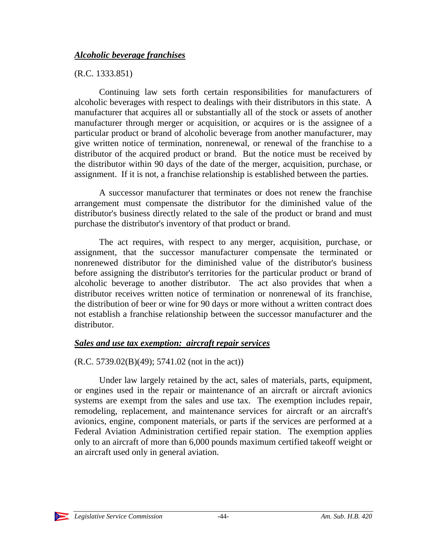#### *Alcoholic beverage franchises*

#### (R.C. 1333.851)

Continuing law sets forth certain responsibilities for manufacturers of alcoholic beverages with respect to dealings with their distributors in this state. A manufacturer that acquires all or substantially all of the stock or assets of another manufacturer through merger or acquisition, or acquires or is the assignee of a particular product or brand of alcoholic beverage from another manufacturer, may give written notice of termination, nonrenewal, or renewal of the franchise to a distributor of the acquired product or brand. But the notice must be received by the distributor within 90 days of the date of the merger, acquisition, purchase, or assignment. If it is not, a franchise relationship is established between the parties.

A successor manufacturer that terminates or does not renew the franchise arrangement must compensate the distributor for the diminished value of the distributor's business directly related to the sale of the product or brand and must purchase the distributor's inventory of that product or brand.

The act requires, with respect to any merger, acquisition, purchase, or assignment, that the successor manufacturer compensate the terminated or nonrenewed distributor for the diminished value of the distributor's business before assigning the distributor's territories for the particular product or brand of alcoholic beverage to another distributor. The act also provides that when a distributor receives written notice of termination or nonrenewal of its franchise, the distribution of beer or wine for 90 days or more without a written contract does not establish a franchise relationship between the successor manufacturer and the distributor.

#### *Sales and use tax exemption: aircraft repair services*

(R.C. 5739.02(B)(49); 5741.02 (not in the act))

Under law largely retained by the act, sales of materials, parts, equipment, or engines used in the repair or maintenance of an aircraft or aircraft avionics systems are exempt from the sales and use tax. The exemption includes repair, remodeling, replacement, and maintenance services for aircraft or an aircraft's avionics, engine, component materials, or parts if the services are performed at a Federal Aviation Administration certified repair station. The exemption applies only to an aircraft of more than 6,000 pounds maximum certified takeoff weight or an aircraft used only in general aviation.

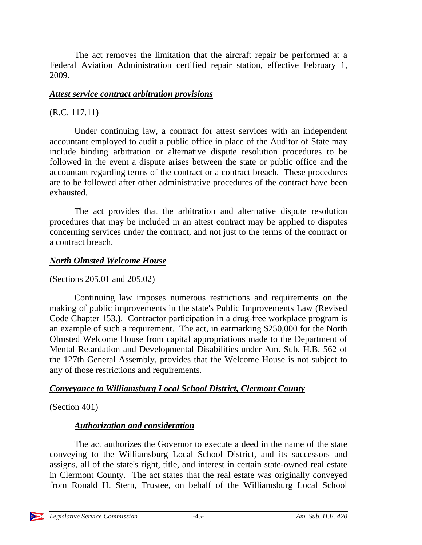The act removes the limitation that the aircraft repair be performed at a Federal Aviation Administration certified repair station, effective February 1, 2009.

#### *Attest service contract arbitration provisions*

### (R.C. 117.11)

Under continuing law, a contract for attest services with an independent accountant employed to audit a public office in place of the Auditor of State may include binding arbitration or alternative dispute resolution procedures to be followed in the event a dispute arises between the state or public office and the accountant regarding terms of the contract or a contract breach. These procedures are to be followed after other administrative procedures of the contract have been exhausted.

The act provides that the arbitration and alternative dispute resolution procedures that may be included in an attest contract may be applied to disputes concerning services under the contract, and not just to the terms of the contract or a contract breach.

### *North Olmsted Welcome House*

### (Sections 205.01 and 205.02)

Continuing law imposes numerous restrictions and requirements on the making of public improvements in the state's Public Improvements Law (Revised Code Chapter 153.). Contractor participation in a drug-free workplace program is an example of such a requirement. The act, in earmarking \$250,000 for the North Olmsted Welcome House from capital appropriations made to the Department of Mental Retardation and Developmental Disabilities under Am. Sub. H.B. 562 of the 127th General Assembly, provides that the Welcome House is not subject to any of those restrictions and requirements.

## *Conveyance to Williamsburg Local School District, Clermont County*

(Section 401)

## *Authorization and consideration*

The act authorizes the Governor to execute a deed in the name of the state conveying to the Williamsburg Local School District, and its successors and assigns, all of the state's right, title, and interest in certain state-owned real estate in Clermont County. The act states that the real estate was originally conveyed from Ronald H. Stern, Trustee, on behalf of the Williamsburg Local School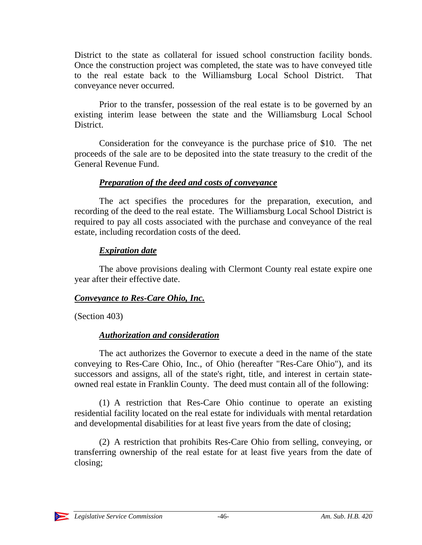District to the state as collateral for issued school construction facility bonds. Once the construction project was completed, the state was to have conveyed title to the real estate back to the Williamsburg Local School District. That conveyance never occurred.

Prior to the transfer, possession of the real estate is to be governed by an existing interim lease between the state and the Williamsburg Local School District.

Consideration for the conveyance is the purchase price of \$10. The net proceeds of the sale are to be deposited into the state treasury to the credit of the General Revenue Fund.

#### *Preparation of the deed and costs of conveyance*

The act specifies the procedures for the preparation, execution, and recording of the deed to the real estate. The Williamsburg Local School District is required to pay all costs associated with the purchase and conveyance of the real estate, including recordation costs of the deed.

### *Expiration date*

The above provisions dealing with Clermont County real estate expire one year after their effective date.

### *Conveyance to Res-Care Ohio, Inc.*

(Section 403)

## *Authorization and consideration*

The act authorizes the Governor to execute a deed in the name of the state conveying to Res-Care Ohio, Inc., of Ohio (hereafter "Res-Care Ohio"), and its successors and assigns, all of the state's right, title, and interest in certain stateowned real estate in Franklin County. The deed must contain all of the following:

(1) A restriction that Res-Care Ohio continue to operate an existing residential facility located on the real estate for individuals with mental retardation and developmental disabilities for at least five years from the date of closing;

(2) A restriction that prohibits Res-Care Ohio from selling, conveying, or transferring ownership of the real estate for at least five years from the date of closing;

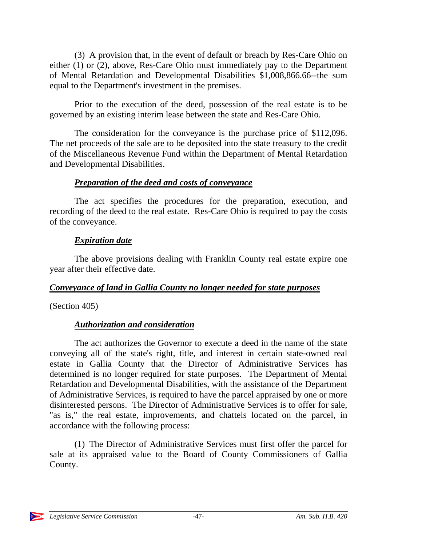(3) A provision that, in the event of default or breach by Res-Care Ohio on either (1) or (2), above, Res-Care Ohio must immediately pay to the Department of Mental Retardation and Developmental Disabilities \$1,008,866.66--the sum equal to the Department's investment in the premises.

Prior to the execution of the deed, possession of the real estate is to be governed by an existing interim lease between the state and Res-Care Ohio.

The consideration for the conveyance is the purchase price of \$112,096. The net proceeds of the sale are to be deposited into the state treasury to the credit of the Miscellaneous Revenue Fund within the Department of Mental Retardation and Developmental Disabilities.

#### *Preparation of the deed and costs of conveyance*

The act specifies the procedures for the preparation, execution, and recording of the deed to the real estate. Res-Care Ohio is required to pay the costs of the conveyance.

### *Expiration date*

The above provisions dealing with Franklin County real estate expire one year after their effective date.

### *Conveyance of land in Gallia County no longer needed for state purposes*

(Section 405)

## *Authorization and consideration*

The act authorizes the Governor to execute a deed in the name of the state conveying all of the state's right, title, and interest in certain state-owned real estate in Gallia County that the Director of Administrative Services has determined is no longer required for state purposes. The Department of Mental Retardation and Developmental Disabilities, with the assistance of the Department of Administrative Services, is required to have the parcel appraised by one or more disinterested persons. The Director of Administrative Services is to offer for sale, "as is," the real estate, improvements, and chattels located on the parcel, in accordance with the following process:

(1) The Director of Administrative Services must first offer the parcel for sale at its appraised value to the Board of County Commissioners of Gallia County.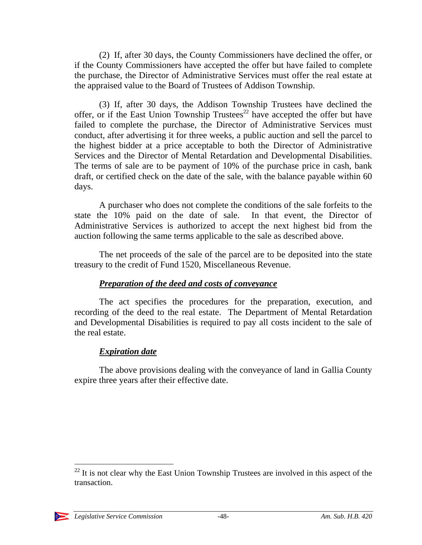(2) If, after 30 days, the County Commissioners have declined the offer, or if the County Commissioners have accepted the offer but have failed to complete the purchase, the Director of Administrative Services must offer the real estate at the appraised value to the Board of Trustees of Addison Township.

(3) If, after 30 days, the Addison Township Trustees have declined the offer, or if the East Union Township Trustees<sup>22</sup> have accepted the offer but have failed to complete the purchase, the Director of Administrative Services must conduct, after advertising it for three weeks, a public auction and sell the parcel to the highest bidder at a price acceptable to both the Director of Administrative Services and the Director of Mental Retardation and Developmental Disabilities. The terms of sale are to be payment of 10% of the purchase price in cash, bank draft, or certified check on the date of the sale, with the balance payable within 60 days.

A purchaser who does not complete the conditions of the sale forfeits to the state the 10% paid on the date of sale. In that event, the Director of Administrative Services is authorized to accept the next highest bid from the auction following the same terms applicable to the sale as described above.

The net proceeds of the sale of the parcel are to be deposited into the state treasury to the credit of Fund 1520, Miscellaneous Revenue.

### *Preparation of the deed and costs of conveyance*

The act specifies the procedures for the preparation, execution, and recording of the deed to the real estate. The Department of Mental Retardation and Developmental Disabilities is required to pay all costs incident to the sale of the real estate.

## *Expiration date*

The above provisions dealing with the conveyance of land in Gallia County expire three years after their effective date.

 $22$  It is not clear why the East Union Township Trustees are involved in this aspect of the transaction.

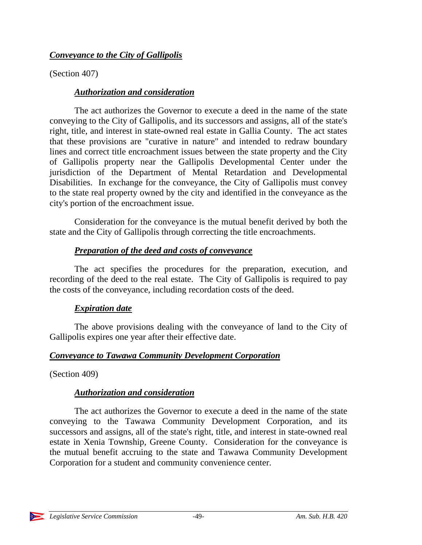### *Conveyance to the City of Gallipolis*

(Section 407)

## *Authorization and consideration*

The act authorizes the Governor to execute a deed in the name of the state conveying to the City of Gallipolis, and its successors and assigns, all of the state's right, title, and interest in state-owned real estate in Gallia County. The act states that these provisions are "curative in nature" and intended to redraw boundary lines and correct title encroachment issues between the state property and the City of Gallipolis property near the Gallipolis Developmental Center under the jurisdiction of the Department of Mental Retardation and Developmental Disabilities. In exchange for the conveyance, the City of Gallipolis must convey to the state real property owned by the city and identified in the conveyance as the city's portion of the encroachment issue.

Consideration for the conveyance is the mutual benefit derived by both the state and the City of Gallipolis through correcting the title encroachments.

## *Preparation of the deed and costs of conveyance*

The act specifies the procedures for the preparation, execution, and recording of the deed to the real estate. The City of Gallipolis is required to pay the costs of the conveyance, including recordation costs of the deed.

## *Expiration date*

The above provisions dealing with the conveyance of land to the City of Gallipolis expires one year after their effective date.

## *Conveyance to Tawawa Community Development Corporation*

(Section 409)

## *Authorization and consideration*

The act authorizes the Governor to execute a deed in the name of the state conveying to the Tawawa Community Development Corporation, and its successors and assigns, all of the state's right, title, and interest in state-owned real estate in Xenia Township, Greene County. Consideration for the conveyance is the mutual benefit accruing to the state and Tawawa Community Development Corporation for a student and community convenience center.

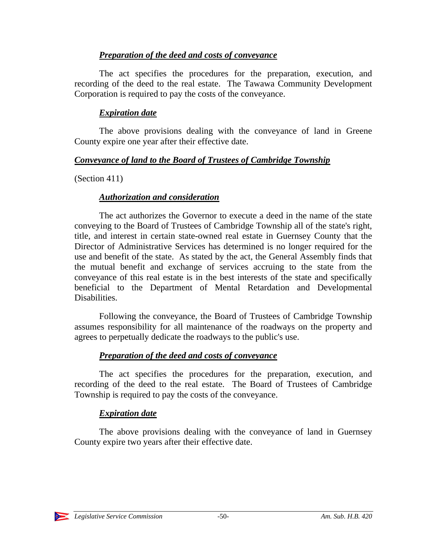### *Preparation of the deed and costs of conveyance*

The act specifies the procedures for the preparation, execution, and recording of the deed to the real estate. The Tawawa Community Development Corporation is required to pay the costs of the conveyance.

### *Expiration date*

The above provisions dealing with the conveyance of land in Greene County expire one year after their effective date.

### *Conveyance of land to the Board of Trustees of Cambridge Township*

(Section 411)

### *Authorization and consideration*

The act authorizes the Governor to execute a deed in the name of the state conveying to the Board of Trustees of Cambridge Township all of the state's right, title, and interest in certain state-owned real estate in Guernsey County that the Director of Administrative Services has determined is no longer required for the use and benefit of the state. As stated by the act, the General Assembly finds that the mutual benefit and exchange of services accruing to the state from the conveyance of this real estate is in the best interests of the state and specifically beneficial to the Department of Mental Retardation and Developmental Disabilities.

Following the conveyance, the Board of Trustees of Cambridge Township assumes responsibility for all maintenance of the roadways on the property and agrees to perpetually dedicate the roadways to the public's use.

## *Preparation of the deed and costs of conveyance*

The act specifies the procedures for the preparation, execution, and recording of the deed to the real estate. The Board of Trustees of Cambridge Township is required to pay the costs of the conveyance.

## *Expiration date*

The above provisions dealing with the conveyance of land in Guernsey County expire two years after their effective date.

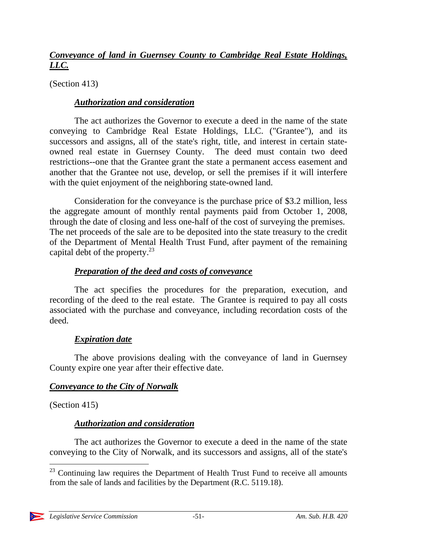### *Conveyance of land in Guernsey County to Cambridge Real Estate Holdings, LLC.*

(Section 413)

#### *Authorization and consideration*

The act authorizes the Governor to execute a deed in the name of the state conveying to Cambridge Real Estate Holdings, LLC. ("Grantee"), and its successors and assigns, all of the state's right, title, and interest in certain stateowned real estate in Guernsey County. The deed must contain two deed restrictions--one that the Grantee grant the state a permanent access easement and another that the Grantee not use, develop, or sell the premises if it will interfere with the quiet enjoyment of the neighboring state-owned land.

Consideration for the conveyance is the purchase price of \$3.2 million, less the aggregate amount of monthly rental payments paid from October 1, 2008, through the date of closing and less one-half of the cost of surveying the premises. The net proceeds of the sale are to be deposited into the state treasury to the credit of the Department of Mental Health Trust Fund, after payment of the remaining capital debt of the property. $^{23}$ 

### *Preparation of the deed and costs of conveyance*

The act specifies the procedures for the preparation, execution, and recording of the deed to the real estate. The Grantee is required to pay all costs associated with the purchase and conveyance, including recordation costs of the deed.

### *Expiration date*

The above provisions dealing with the conveyance of land in Guernsey County expire one year after their effective date.

### *Conveyance to the City of Norwalk*

(Section 415)

### *Authorization and consideration*

The act authorizes the Governor to execute a deed in the name of the state conveying to the City of Norwalk, and its successors and assigns, all of the state's

 $\overline{a}$  $23$  Continuing law requires the Department of Health Trust Fund to receive all amounts from the sale of lands and facilities by the Department (R.C. 5119.18).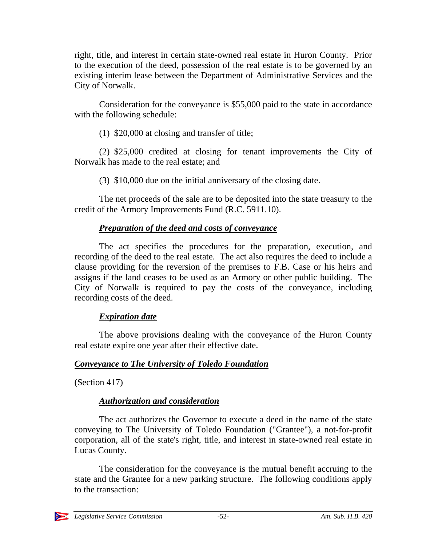right, title, and interest in certain state-owned real estate in Huron County. Prior to the execution of the deed, possession of the real estate is to be governed by an existing interim lease between the Department of Administrative Services and the City of Norwalk.

Consideration for the conveyance is \$55,000 paid to the state in accordance with the following schedule:

(1) \$20,000 at closing and transfer of title;

(2) \$25,000 credited at closing for tenant improvements the City of Norwalk has made to the real estate; and

(3) \$10,000 due on the initial anniversary of the closing date.

The net proceeds of the sale are to be deposited into the state treasury to the credit of the Armory Improvements Fund (R.C. 5911.10).

### *Preparation of the deed and costs of conveyance*

The act specifies the procedures for the preparation, execution, and recording of the deed to the real estate. The act also requires the deed to include a clause providing for the reversion of the premises to F.B. Case or his heirs and assigns if the land ceases to be used as an Armory or other public building. The City of Norwalk is required to pay the costs of the conveyance, including recording costs of the deed.

### *Expiration date*

The above provisions dealing with the conveyance of the Huron County real estate expire one year after their effective date.

### *Conveyance to The University of Toledo Foundation*

(Section 417)

### *Authorization and consideration*

The act authorizes the Governor to execute a deed in the name of the state conveying to The University of Toledo Foundation ("Grantee"), a not-for-profit corporation, all of the state's right, title, and interest in state-owned real estate in Lucas County.

The consideration for the conveyance is the mutual benefit accruing to the state and the Grantee for a new parking structure. The following conditions apply to the transaction:

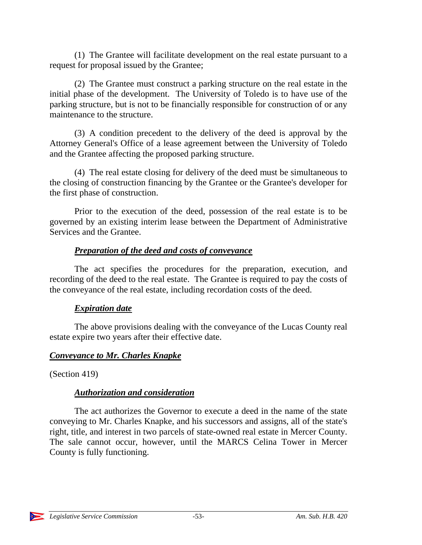(1) The Grantee will facilitate development on the real estate pursuant to a request for proposal issued by the Grantee;

(2) The Grantee must construct a parking structure on the real estate in the initial phase of the development. The University of Toledo is to have use of the parking structure, but is not to be financially responsible for construction of or any maintenance to the structure.

(3) A condition precedent to the delivery of the deed is approval by the Attorney General's Office of a lease agreement between the University of Toledo and the Grantee affecting the proposed parking structure.

(4) The real estate closing for delivery of the deed must be simultaneous to the closing of construction financing by the Grantee or the Grantee's developer for the first phase of construction.

Prior to the execution of the deed, possession of the real estate is to be governed by an existing interim lease between the Department of Administrative Services and the Grantee.

### *Preparation of the deed and costs of conveyance*

The act specifies the procedures for the preparation, execution, and recording of the deed to the real estate. The Grantee is required to pay the costs of the conveyance of the real estate, including recordation costs of the deed.

### *Expiration date*

The above provisions dealing with the conveyance of the Lucas County real estate expire two years after their effective date.

### *Conveyance to Mr. Charles Knapke*

(Section 419)

### *Authorization and consideration*

The act authorizes the Governor to execute a deed in the name of the state conveying to Mr. Charles Knapke, and his successors and assigns, all of the state's right, title, and interest in two parcels of state-owned real estate in Mercer County. The sale cannot occur, however, until the MARCS Celina Tower in Mercer County is fully functioning.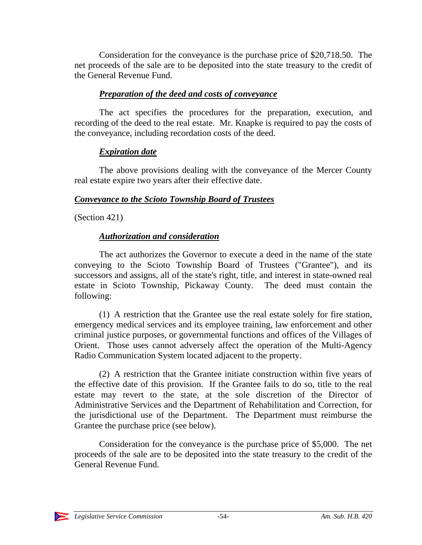Consideration for the conveyance is the purchase price of \$20,718.50. The net proceeds of the sale are to be deposited into the state treasury to the credit of the General Revenue Fund.

### *Preparation of the deed and costs of conveyance*

The act specifies the procedures for the preparation, execution, and recording of the deed to the real estate. Mr. Knapke is required to pay the costs of the conveyance, including recordation costs of the deed.

### *Expiration date*

The above provisions dealing with the conveyance of the Mercer County real estate expire two years after their effective date.

### *Conveyance to the Scioto Township Board of Trustees*

(Section 421)

### *Authorization and consideration*

The act authorizes the Governor to execute a deed in the name of the state conveying to the Scioto Township Board of Trustees ("Grantee"), and its successors and assigns, all of the state's right, title, and interest in state-owned real estate in Scioto Township, Pickaway County. The deed must contain the following:

(1) A restriction that the Grantee use the real estate solely for fire station, emergency medical services and its employee training, law enforcement and other criminal justice purposes, or governmental functions and offices of the Villages of Orient. Those uses cannot adversely affect the operation of the Multi-Agency Radio Communication System located adjacent to the property.

(2) A restriction that the Grantee initiate construction within five years of the effective date of this provision. If the Grantee fails to do so, title to the real estate may revert to the state, at the sole discretion of the Director of Administrative Services and the Department of Rehabilitation and Correction, for the jurisdictional use of the Department. The Department must reimburse the Grantee the purchase price (see below).

Consideration for the conveyance is the purchase price of \$5,000. The net proceeds of the sale are to be deposited into the state treasury to the credit of the General Revenue Fund.

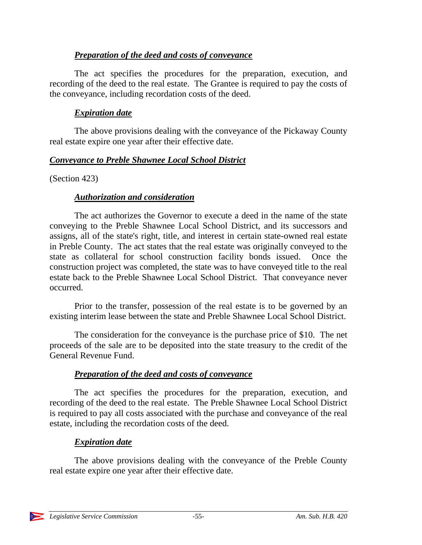### *Preparation of the deed and costs of conveyance*

The act specifies the procedures for the preparation, execution, and recording of the deed to the real estate. The Grantee is required to pay the costs of the conveyance, including recordation costs of the deed.

### *Expiration date*

The above provisions dealing with the conveyance of the Pickaway County real estate expire one year after their effective date.

### *Conveyance to Preble Shawnee Local School District*

(Section 423)

### *Authorization and consideration*

The act authorizes the Governor to execute a deed in the name of the state conveying to the Preble Shawnee Local School District, and its successors and assigns, all of the state's right, title, and interest in certain state-owned real estate in Preble County. The act states that the real estate was originally conveyed to the state as collateral for school construction facility bonds issued. Once the construction project was completed, the state was to have conveyed title to the real estate back to the Preble Shawnee Local School District. That conveyance never occurred.

Prior to the transfer, possession of the real estate is to be governed by an existing interim lease between the state and Preble Shawnee Local School District.

The consideration for the conveyance is the purchase price of \$10. The net proceeds of the sale are to be deposited into the state treasury to the credit of the General Revenue Fund.

## *Preparation of the deed and costs of conveyance*

The act specifies the procedures for the preparation, execution, and recording of the deed to the real estate. The Preble Shawnee Local School District is required to pay all costs associated with the purchase and conveyance of the real estate, including the recordation costs of the deed.

## *Expiration date*

The above provisions dealing with the conveyance of the Preble County real estate expire one year after their effective date.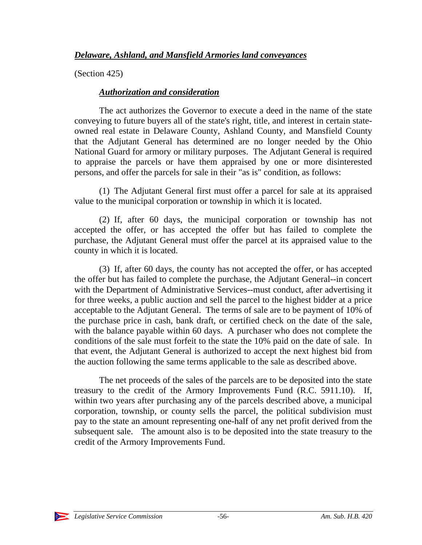(Section 425)

### *Authorization and consideration*

The act authorizes the Governor to execute a deed in the name of the state conveying to future buyers all of the state's right, title, and interest in certain stateowned real estate in Delaware County, Ashland County, and Mansfield County that the Adjutant General has determined are no longer needed by the Ohio National Guard for armory or military purposes. The Adjutant General is required to appraise the parcels or have them appraised by one or more disinterested persons, and offer the parcels for sale in their "as is" condition, as follows:

(1) The Adjutant General first must offer a parcel for sale at its appraised value to the municipal corporation or township in which it is located.

(2) If, after 60 days, the municipal corporation or township has not accepted the offer, or has accepted the offer but has failed to complete the purchase, the Adjutant General must offer the parcel at its appraised value to the county in which it is located.

(3) If, after 60 days, the county has not accepted the offer, or has accepted the offer but has failed to complete the purchase, the Adjutant General--in concert with the Department of Administrative Services--must conduct, after advertising it for three weeks, a public auction and sell the parcel to the highest bidder at a price acceptable to the Adjutant General. The terms of sale are to be payment of 10% of the purchase price in cash, bank draft, or certified check on the date of the sale, with the balance payable within 60 days. A purchaser who does not complete the conditions of the sale must forfeit to the state the 10% paid on the date of sale. In that event, the Adjutant General is authorized to accept the next highest bid from the auction following the same terms applicable to the sale as described above.

The net proceeds of the sales of the parcels are to be deposited into the state treasury to the credit of the Armory Improvements Fund (R.C. 5911.10). If, within two years after purchasing any of the parcels described above, a municipal corporation, township, or county sells the parcel, the political subdivision must pay to the state an amount representing one-half of any net profit derived from the subsequent sale. The amount also is to be deposited into the state treasury to the credit of the Armory Improvements Fund.